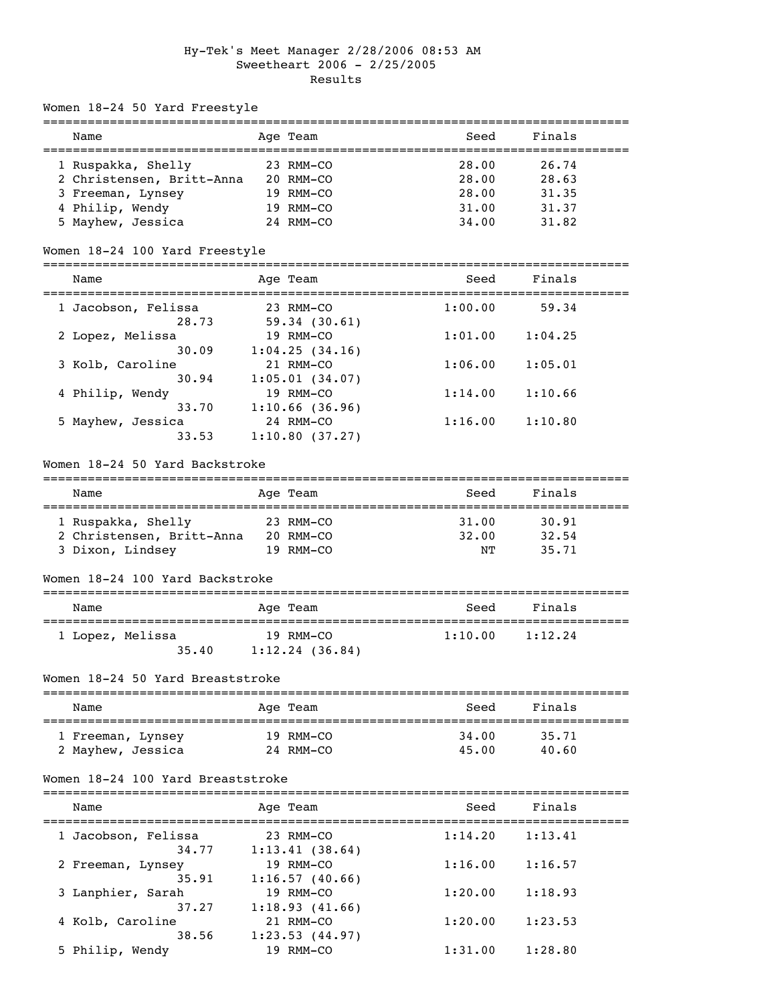# Hy-Tek's Meet Manager 2/28/2006 08:53 AM Sweetheart 2006 - 2/25/2005 Results

Women 18-24 50 Yard Freestyle

| Name                      | Age Team       | Seed  | Finals |
|---------------------------|----------------|-------|--------|
|                           |                |       |        |
| 1 Ruspakka, Shelly        | $23$ RMM-CO    | 28.00 | 26.74  |
| 2 Christensen, Britt-Anna | 20 RMM-CO      | 28.00 | 28.63  |
| 3 Freeman, Lynsey         | 19 RMM-CO      | 28.00 | 31.35  |
| 4 Philip, Wendy           | $19$ RMM $-CO$ | 31.00 | 31.37  |
| 5 Mayhew, Jessica         | 24 RMM-CO      | 34.00 | 31.82  |

## Women 18-24 100 Yard Freestyle

===============================================================================

| Age Team       | Seed    | Finals  |  |
|----------------|---------|---------|--|
| 23 RMM-CO      | 1:00.00 | 59.34   |  |
| 59.34(30.61)   |         |         |  |
| 19 RMM-CO      | 1:01.00 | 1:04.25 |  |
| 1:04.25(34.16) |         |         |  |
| 21 RMM-CO      | 1:06.00 | 1:05.01 |  |
| 1:05.01(34.07) |         |         |  |
| 19 RMM-CO      | 1:14.00 | 1:10.66 |  |
| 1:10.66(36.96) |         |         |  |
| 24 RMM-CO      | 1:16.00 | 1:10.80 |  |
| 1:10.80(37.27) |         |         |  |
|                |         |         |  |

#### Women 18-24 50 Yard Backstroke

| Name                      | Age Team       | Seed  | Finals |  |  |
|---------------------------|----------------|-------|--------|--|--|
|                           |                |       |        |  |  |
| 1 Ruspakka, Shelly        | 23 RMM-CO      | 31,00 | 30.91  |  |  |
| 2 Christensen, Britt-Anna | $20$ RMM $-CO$ | 32.00 | 32.54  |  |  |
| 3 Dixon, Lindsey          | $19$ RMM $-CO$ | NͲ    | 35.71  |  |  |

#### Women 18-24 100 Yard Backstroke

| Name                      | Age Team          | Seed    | Finals  |  |
|---------------------------|-------------------|---------|---------|--|
| 1 Lopez, Melissa<br>35.40 | 19 RMM-CO         | 1:10.00 | 1:12.24 |  |
|                           | $1:12.24$ (36.84) |         |         |  |

#### Women 18-24 50 Yard Breaststroke

| Name              | Age Team  | Seed  | Finals |  |  |
|-------------------|-----------|-------|--------|--|--|
| 1 Freeman, Lynsey | 19 RMM-CO | 34.00 | 35.71  |  |  |
| 2 Mayhew, Jessica | 24 RMM-CO | 45.00 | 40.60  |  |  |

### Women 18-24 100 Yard Breaststroke

| Name                         | Age Team                    | Seed    | Finals  |  |
|------------------------------|-----------------------------|---------|---------|--|
| 1 Jacobson, Felissa<br>34.77 | 23 RMM-CO<br>1:13.41(38.64) | 1:14.20 | 1:13.41 |  |
| 2 Freeman, Lynsey<br>35.91   | 19 RMM-CO<br>1:16.57(40.66) | 1:16.00 | 1:16.57 |  |
| 3 Lanphier, Sarah<br>37.27   | 19 RMM-CO<br>1:18.93(41.66) | 1:20.00 | 1:18.93 |  |
| 4 Kolb, Caroline<br>38.56    | 21 RMM-CO<br>1:23.53(44.97) | 1:20.00 | 1:23.53 |  |
| 5 Philip, Wendy              | 19 RMM-CO                   | 1:31.00 | 1:28.80 |  |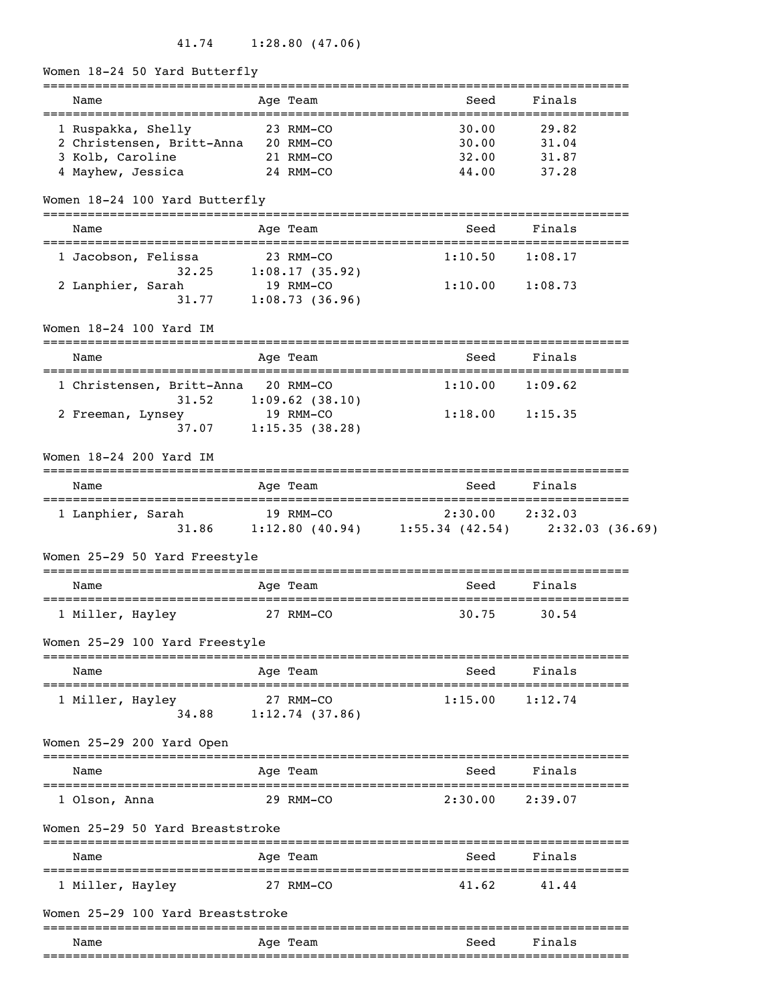41.74 1:28.80 (47.06)

Women 18-24 50 Yard Butterfly

| Name<br>==================================     | Age Team                             | Seed<br>===============================               | Finals  |  |
|------------------------------------------------|--------------------------------------|-------------------------------------------------------|---------|--|
| 1 Ruspakka, Shelly                             | 23 RMM-CO                            | 30.00                                                 | 29.82   |  |
| 2 Christensen, Britt-Anna 20 RMM-CO            |                                      | 30.00                                                 | 31.04   |  |
| 3 Kolb, Caroline                               | 21 RMM-CO                            | 32.00                                                 | 31.87   |  |
| 4 Mayhew, Jessica                              | 24 RMM-CO                            | 44.00                                                 | 37.28   |  |
| Women 18-24 100 Yard Butterfly                 |                                      |                                                       |         |  |
| Name                                           | Age Team                             | Seed                                                  | Finals  |  |
| 1 Jacobson, Felissa                            | 23 RMM-CO                            | 1:10.50                                               | 1:08.17 |  |
|                                                | $32.25$ 1:08.17 (35.92)              |                                                       |         |  |
| 2 Lanphier, Sarah                              | 19 RMM-CO<br>$31.77$ 1:08.73 (36.96) | $1:10.00$ $1:08.73$                                   |         |  |
| Women 18-24 100 Yard IM                        |                                      |                                                       |         |  |
| Name                                           | ---------<br>Age Team                | Seed                                                  | Finals  |  |
|                                                |                                      |                                                       |         |  |
| 1 Christensen, Britt-Anna 20 RMM-CO<br>31.52   | $1:09.62$ (38.10)                    | 1:10.00                                               | 1:09.62 |  |
| 2 Freeman, Lynsey                              | 19 RMM-CO                            | 1:18.00                                               | 1:15.35 |  |
| 37.07                                          | 1:15.35(38.28)                       |                                                       |         |  |
| Women 18-24 200 Yard IM                        |                                      |                                                       |         |  |
| Name                                           | Age Team                             | Seed                                                  | Finals  |  |
| 1 Lanphier, Sarah                              | 19 RMM-CO                            | 2:30.00 2:32.03                                       |         |  |
|                                                |                                      | 31.86 1:12.80 (40.94) 1:55.34 (42.54) 2:32.03 (36.69) |         |  |
| Women 25-29 50 Yard Freestyle                  |                                      |                                                       |         |  |
| Name<br>====================================== | Age Team                             | Seed                                                  | Finals  |  |
| 1 Miller, Hayley                               | 27 RMM-CO                            | 30.75                                                 | 30.54   |  |
| Women 25-29 100 Yard Freestyle                 |                                      |                                                       |         |  |
| Name                                           | Age Team                             | Seed                                                  | Finals  |  |
| 1 Miller, Hayley                               | 27 RMM-CO                            | 1:15.00                                               | 1:12.74 |  |
| 34.88                                          | 1:12.74(37.86)                       |                                                       |         |  |
| Women 25-29 200 Yard Open                      |                                      |                                                       |         |  |
| Name                                           | Age Team                             | ____________________________________<br>Seed          | Finals  |  |
| 1 Olson, Anna                                  | 29 RMM-CO                            | 2:30.00                                               | 2:39.07 |  |
| Women 25-29 50 Yard Breaststroke               |                                      |                                                       |         |  |
| Name                                           | Age Team                             | Seed                                                  | Finals  |  |
| 1 Miller, Hayley                               | 27 RMM-CO                            | 41.62                                                 | 41.44   |  |
| Women 25-29 100 Yard Breaststroke              |                                      |                                                       |         |  |
| Name                                           | Age Team                             | Seed                                                  | Finals  |  |
|                                                |                                      |                                                       |         |  |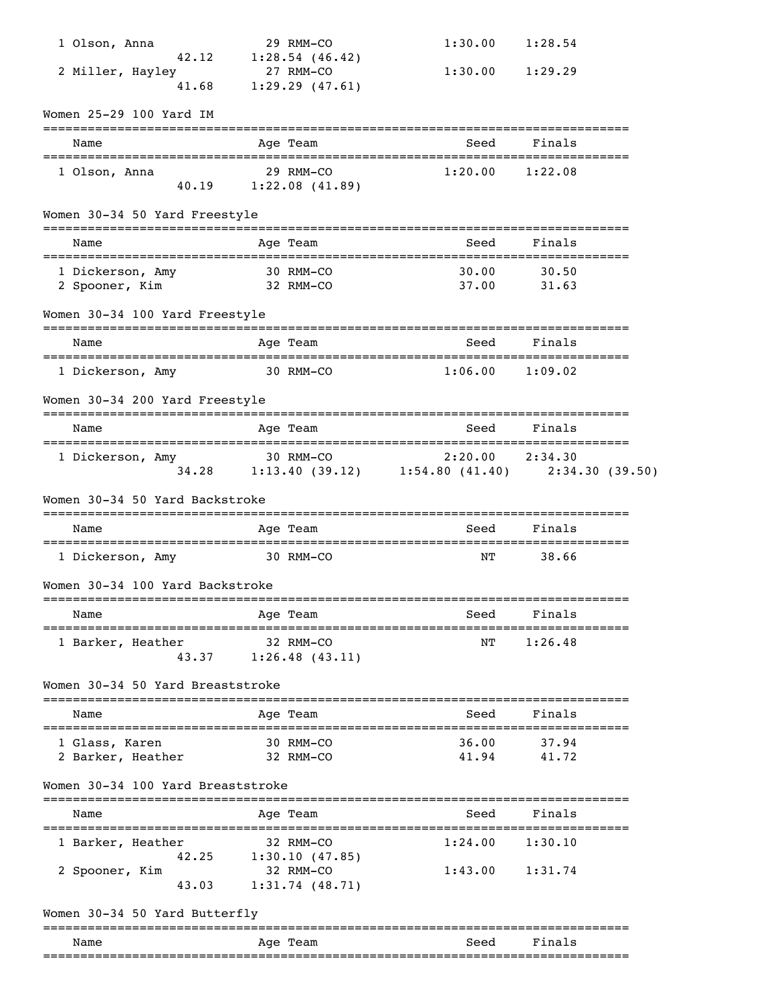| 1 Olson, Anna                                        |              | 29 RMM-CO                          | 1:30.00                                                                                                                                                                         | 1:28.54        |  |
|------------------------------------------------------|--------------|------------------------------------|---------------------------------------------------------------------------------------------------------------------------------------------------------------------------------|----------------|--|
| 42.12<br>2 Miller, Hayley                            |              | 1:28.54(46.42)<br>27 RMM-CO        | $1:30.00$ $1:29.29$                                                                                                                                                             |                |  |
| 41.68                                                |              | 1:29.29(47.61)                     |                                                                                                                                                                                 |                |  |
| Women 25-29 100 Yard IM                              |              |                                    |                                                                                                                                                                                 |                |  |
| Name                                                 |              | Age Team                           | Seed                                                                                                                                                                            | Finals         |  |
| 1 Olson, Anna                                        |              | 29 RMM-CO<br>40.19 1:22.08 (41.89) | 1:20.00                                                                                                                                                                         | 1:22.08        |  |
| Women 30-34 50 Yard Freestyle                        |              |                                    |                                                                                                                                                                                 |                |  |
| Name                                                 |              | Age Team                           | Seed                                                                                                                                                                            | Finals         |  |
| 1 Dickerson, Amy<br>-<br>32 RMM-CO<br>2 Spooner, Kim | 30 RMM-CO    |                                    | 30.00<br>37.00                                                                                                                                                                  | 30.50<br>31.63 |  |
| Women 30-34 100 Yard Freestyle                       |              | ==========                         |                                                                                                                                                                                 |                |  |
| Name                                                 |              | Age Team                           | Seed                                                                                                                                                                            | Finals         |  |
| 1 Dickerson, Amy 30 RMM-CO                           |              |                                    | $1:06.00$ $1:09.02$                                                                                                                                                             |                |  |
| Women 30-34 200 Yard Freestyle                       |              |                                    |                                                                                                                                                                                 |                |  |
| Name                                                 |              | Age Team                           | Seed                                                                                                                                                                            | Finals         |  |
| 1 Dickerson, Amy                                     |              |                                    | $2:20.00$ $2:34.30$<br>$\begin{array}{ccccccccc} 30 & \text{RMM}-\text{CO} & 2:20.00 & 2:34.30 \ 34.28 & 1:13.40 & (39.12) & 1:54.80 & (41.40) & 2:34.30 & (39.50) \end{array}$ |                |  |
| Women 30-34 50 Yard Backstroke                       |              |                                    |                                                                                                                                                                                 |                |  |
| Name                                                 |              | Age Team                           | Seed                                                                                                                                                                            | Finals         |  |
| 1 Dickerson, Amy                                     | $30 RMM$ –CO |                                    | ΝT                                                                                                                                                                              | 38.66          |  |
| Women 30-34 100 Yard Backstroke                      |              |                                    |                                                                                                                                                                                 |                |  |
| Name                                                 |              | Age Team                           | Seed                                                                                                                                                                            | Finals         |  |
| 1 Barker, Heather<br>43.37                           |              | 32 RMM-CO<br>1:26.48(43.11)        | NΤ                                                                                                                                                                              | 1:26.48        |  |
| Women 30-34 50 Yard Breaststroke                     |              |                                    |                                                                                                                                                                                 |                |  |
| Name                                                 |              | Age Team                           | Seed                                                                                                                                                                            | Finals         |  |
| 1 Glass, Karen                                       |              | 30 RMM-CO                          | 36.00                                                                                                                                                                           | 37.94          |  |
| 2 Barker, Heather                                    |              | 32 RMM-CO                          | 41.94                                                                                                                                                                           | 41.72          |  |
| Women 30-34 100 Yard Breaststroke                    |              |                                    |                                                                                                                                                                                 |                |  |
| Name                                                 |              | Age Team                           | Seed                                                                                                                                                                            | Finals         |  |
| 1 Barker, Heather<br>42.25                           |              | 32 RMM-CO<br>1:30.10(47.85)        | 1:24.00                                                                                                                                                                         | 1:30.10        |  |
| 2 Spooner, Kim<br>43.03                              |              | 32 RMM-CO<br>1:31.74(48.71)        | 1:43.00                                                                                                                                                                         | 1:31.74        |  |
| Women 30-34 50 Yard Butterfly                        |              |                                    |                                                                                                                                                                                 |                |  |
| Name                                                 |              | ==========<br>Age Team             | Seed                                                                                                                                                                            | Finals         |  |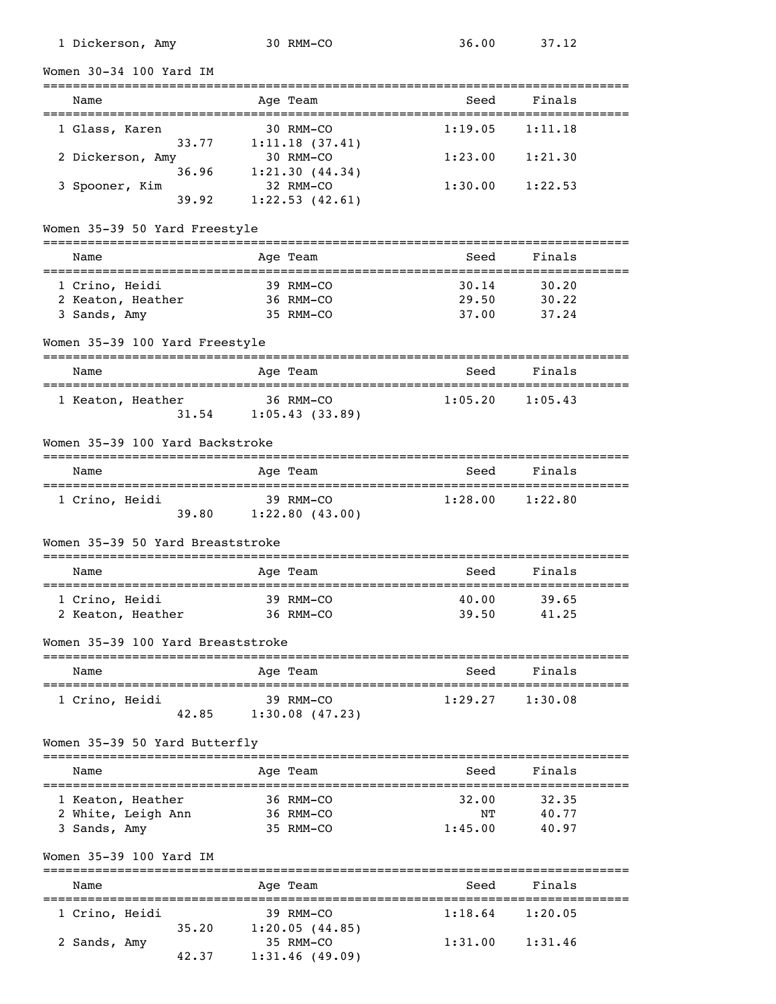| 1 Dickerson, Amy                                         | 30 RMM-CO                            | 36.00   | 37.12                                      |
|----------------------------------------------------------|--------------------------------------|---------|--------------------------------------------|
| Women 30-34 100 Yard IM                                  |                                      |         |                                            |
| ======================<br>Name<br>===============        | Age Team                             | Seed    | Finals                                     |
| 1 Glass, Karen<br>33.77                                  | 30 RMM-CO<br>1:11.18(37.41)          | 1:19.05 | 1:11.18                                    |
| 2 Dickerson, Amy<br>36.96                                | 30 RMM-CO<br>1:21.30(44.34)          | 1:23.00 | 1:21.30                                    |
| 3 Spooner, Kim<br>39.92                                  | 32 RMM-CO<br>1:22.53(42.61)          | 1:30.00 | 1:22.53                                    |
| Women 35-39 50 Yard Freestyle                            |                                      |         |                                            |
| Name                                                     | Age Team                             | Seed    | Finals                                     |
| 1 Crino, Heidi                                           | 39 RMM-CO                            | 30.14   | 30.20                                      |
| 2 Keaton, Heather                                        | 36 RMM-CO                            | 29.50   | 30.22                                      |
| 3 Sands, Amy                                             | 35 RMM-CO                            | 37.00   | 37.24                                      |
| Women 35-39 100 Yard Freestyle                           |                                      |         |                                            |
| Name                                                     | Age Team                             | Seed    | Finals                                     |
| 1 Keaton, Heather<br>31.54                               | 36 RMM-CO<br>1:05.43(33.89)          | 1:05.20 | 1:05.43                                    |
| Women 35-39 100 Yard Backstroke                          |                                      |         |                                            |
| Name                                                     | Age Team                             | Seed    | Finals                                     |
| 1 Crino, Heidi                                           | 39 RMM-CO<br>39.80 1:22.80 (43.00)   | 1:28.00 | 1:22.80                                    |
| Women 35-39 50 Yard Breaststroke                         |                                      |         |                                            |
| Name<br>==================                               | Age Team<br>====================     | Seed    | Finals<br>;===========================     |
| 1 Crino, Heidi                                           | 39 RMM-CO                            | 40.00   | 39.65                                      |
| 2 Keaton, Heather                                        | 36 RMM-CO                            | 39.50   | 41.25                                      |
| Women 35-39 100 Yard Breaststroke                        |                                      |         | ==============                             |
| Name<br>=====================                            | Age Team<br>------------------------ | Seed    | Finals<br>________________________________ |
| 1 Crino, Heidi<br>42.85                                  | 39 RMM-CO<br>1:30.08(47.23)          | 1:29.27 | 1:30.08                                    |
| Women 35-39 50 Yard Butterfly                            |                                      |         |                                            |
| Name                                                     | Age Team                             | Seed    | Finals                                     |
| 1 Keaton, Heather                                        | 36 RMM-CO                            | 32.00   | 32.35                                      |
| 2 White, Leigh Ann                                       | 36 RMM-CO                            | NΤ      | 40.77                                      |
| 3 Sands, Amy                                             | 35 RMM-CO                            | 1:45.00 | 40.97                                      |
| Women 35-39 100 Yard IM<br>:============================ |                                      |         |                                            |
| Name                                                     | Age Team                             | Seed    | Finals                                     |
| 1 Crino, Heidi<br>35.20                                  | 39 RMM-CO<br>1:20.05(44.85)          | 1:18.64 | 1:20.05                                    |
| 2 Sands, Amy<br>42.37                                    | 35 RMM-CO<br>1:31.46(49.09)          | 1:31.00 | 1:31.46                                    |
|                                                          |                                      |         |                                            |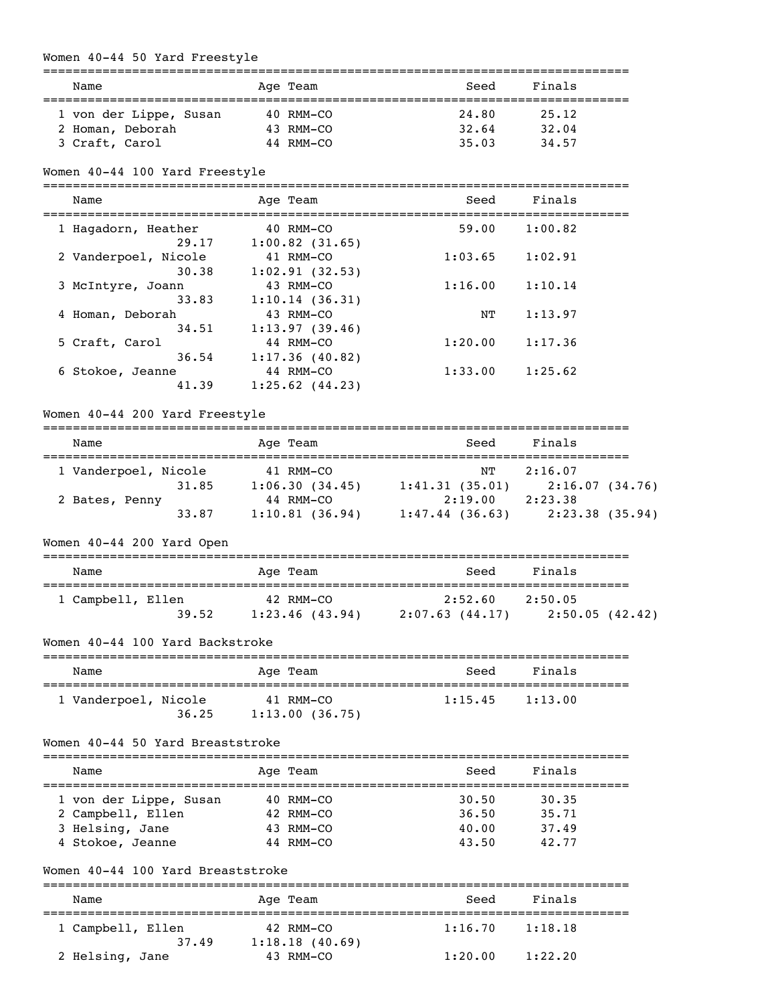# Women 40-44 50 Yard Freestyle

| Name                   | Age Team  | Seed  | Finals |  |  |
|------------------------|-----------|-------|--------|--|--|
|                        |           |       |        |  |  |
| 1 von der Lippe, Susan | 40 RMM-CO | 24.80 | 25.12  |  |  |
| 2 Homan, Deborah       | 43 RMM-CO | 32.64 | 32.04  |  |  |
| 3 Craft, Carol         | 44 RMM-CO | 35.03 | 34.57  |  |  |

# Women 40-44 100 Yard Freestyle

===============================================================================

| Name                 | Age Team            | Seed    | Finals  |  |
|----------------------|---------------------|---------|---------|--|
| 1 Hagadorn, Heather  | 40 RMM-CO           | 59.00   | 1:00.82 |  |
| 29.17                | $1:00.82$ (31.65)   |         |         |  |
| 2 Vanderpoel, Nicole | 41 RMM-CO           | 1:03.65 | 1:02.91 |  |
| 30.38                | 1:02.91(32.53)      |         |         |  |
| 3 McIntyre, Joann    | 43 RMM-CO           | 1:16.00 | 1:10.14 |  |
| 33.83                | 1:10.14(36.31)      |         |         |  |
| 4 Homan, Deborah     | 43 RMM-CO           | NΤ      | 1:13.97 |  |
| 34.51                | 1:13.97(39.46)      |         |         |  |
| 5 Craft, Carol       | 44 RMM-CO           | 1:20.00 | 1:17.36 |  |
| 36.54                | 1:17.36(40.82)      |         |         |  |
| 6 Stokoe, Jeanne     | 44 RMM-CO           | 1:33.00 | 1:25.62 |  |
| 41.39                | $1:25.62$ $(44.23)$ |         |         |  |

### Women 40-44 200 Yard Freestyle

| Name                 |       | Age Team       |                | Seed    | Finals         |  |
|----------------------|-------|----------------|----------------|---------|----------------|--|
| 1 Vanderpoel, Nicole |       | 41 RMM-CO      |                | NТ      | 2:16.07        |  |
|                      | 31.85 | 1:06.30(34.45) | 1:41.31(35.01) |         | 2:16.07(34.76) |  |
| 2 Bates, Penny       |       | 44 RMM-CO      |                | 2:19.00 | 2:23.38        |  |
|                      | 33.87 | 1:10.81(36.94) | 1:47.44(36.63) |         | 2:23.38(35.94) |  |

# Women 40-44 200 Yard Open

| Name              |       | Age Team                       | Seed                      | Finals                    |  |
|-------------------|-------|--------------------------------|---------------------------|---------------------------|--|
| 1 Campbell, Ellen | 39.52 | 42 RMM-CO<br>$1:23.46$ (43.94) | 2:52.60<br>2:07.63(44.17) | 2:50.05<br>2:50.05(42.42) |  |

## Women 40-44 100 Yard Backstroke

| Name                 |       | Age Team                    | Seed    | Finals  |
|----------------------|-------|-----------------------------|---------|---------|
| 1 Vanderpoel, Nicole | 36.25 | 41 RMM-CO<br>1:13.00(36.75) | 1:15.45 | 1:13.00 |

#### Women 40-44 50 Yard Breaststroke

| Name                   | Age Team       | Finals<br>Seed |  |
|------------------------|----------------|----------------|--|
| 1 von der Lippe, Susan | $40$ RMM $-CO$ | 30.50<br>30.35 |  |
| 2 Campbell, Ellen      | 42 RMM-CO      | 35.71<br>36.50 |  |
| 3 Helsing, Jane        | $43$ RMM-CO    | 40.00<br>37.49 |  |
| 4 Stokoe, Jeanne       | 44 RMM-CO      | 42.77<br>43.50 |  |

### Women 40-44 100 Yard Breaststroke

| Name              | Age Team       | Seed    | Finals  |  |
|-------------------|----------------|---------|---------|--|
| 1 Campbell, Ellen | 42 RMM-CO      | 1:16.70 | 1:18.18 |  |
| 37.49             | 1:18.18(40.69) |         |         |  |
| 2 Helsing, Jane   | 43 RMM-CO      | 1:20.00 | 1:22.20 |  |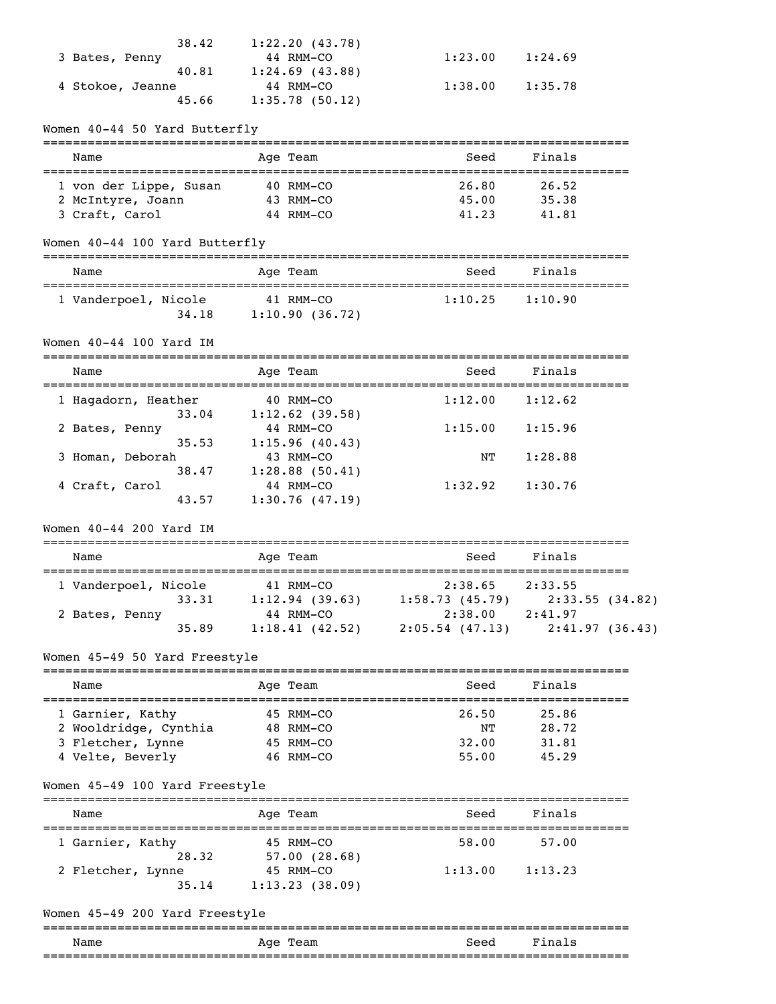| 38.42            | 1:22.20(43.78)    |         |         |
|------------------|-------------------|---------|---------|
| 3 Bates, Penny   | 44 RMM-CO         | 1:23.00 | 1:24.69 |
| 40.81            | $1:24.69$ (43.88) |         |         |
| 4 Stokoe, Jeanne | 44 RMM-CO         | 1:38.00 | 1:35.78 |
| 45.66            | 1:35.78(50.12)    |         |         |

### Women 40-44 50 Yard Butterfly

| Name                                        | Age Team               | Seed           | Finals         |  |
|---------------------------------------------|------------------------|----------------|----------------|--|
| 1 von der Lippe, Susan<br>2 McIntyre, Joann | 40 RMM-CO<br>43 RMM-CO | 26.80<br>45.00 | 26.52<br>35.38 |  |
| 3 Craft, Carol                              | 44 RMM-CO              | 41.23          | 41.81          |  |

#### Women 40-44 100 Yard Butterfly

| Name                 |       | Age Team                    | Seed    | Finals  |  |
|----------------------|-------|-----------------------------|---------|---------|--|
| 1 Vanderpoel, Nicole | 34.18 | 41 RMM-CO<br>1:10.90(36.72) | 1:10.25 | 1:10.90 |  |

# Women 40-44 100 Yard IM

| ____ |     | ____ |
|------|-----|------|
| ™e   | . . |      |

| 1 Hagadorn, Heather | 40 RMM-CO         | 1:12.00 | 1:12.62 |  |
|---------------------|-------------------|---------|---------|--|
| 33.04               | $1:12.62$ (39.58) |         |         |  |
| 2 Bates, Penny      | 44 RMM-CO         | 1:15.00 | 1:15.96 |  |
| 35.53               | 1:15.96(40.43)    |         |         |  |
| 3 Homan, Deborah    | 43 RMM-CO         | NΤ      | 1:28.88 |  |
| 38.47               | $1:28.88$ (50.41) |         |         |  |
| 4 Craft, Carol      | 44 RMM-CO         | 1:32.92 | 1:30.76 |  |
| 43.57               | 1:30.76(47.19)    |         |         |  |

#### Women 40-44 200 Yard IM

| Name                 |       | Age Team                    | Seed                         | Finals                    |
|----------------------|-------|-----------------------------|------------------------------|---------------------------|
| 1 Vanderpoel, Nicole | 33.31 | 41 RMM-CO<br>1:12.94(39.63) | 2:38.65<br>1:58.73(45.79)    | 2:33.55<br>2:33.55(34.82) |
| 2 Bates, Penny       | 35.89 | 44 RMM-CO<br>1:18.41(42.52) | 2:38.00<br>$2:05.54$ (47.13) | 2:41.97<br>2:41.97(36.43) |

## Women 45-49 50 Yard Freestyle

| Name                                                                               | Age Team                                           | Finals<br>Seed                                                    |  |
|------------------------------------------------------------------------------------|----------------------------------------------------|-------------------------------------------------------------------|--|
| 1 Garnier, Kathy<br>2 Wooldridge, Cynthia<br>3 Fletcher, Lynne<br>4 Velte, Beverly | 45 RMM-CO<br>48 RMM-CO<br>45 RMM-CO<br>$46$ RMM-CO | 25.86<br>26.50<br>28.72<br>NͲ<br>31.81<br>32.00<br>55.00<br>45.29 |  |

#### Women 45-49 100 Yard Freestyle

# =============================================================================== Name Age Team Seed Finals =============================================================================== 1 Garnier, Kathy 45 RMM-CO 58.00 57.00 28.32 57.00 (28.68) 2 Fletcher, Lynne 45 RMM-CO 1:13.00 1:13.23 35.14 1:13.23 (38.09)

### Women 45-49 200 Yard Freestyle

### =============================================================================== Name Register Age Team Name Seed Finals ===============================================================================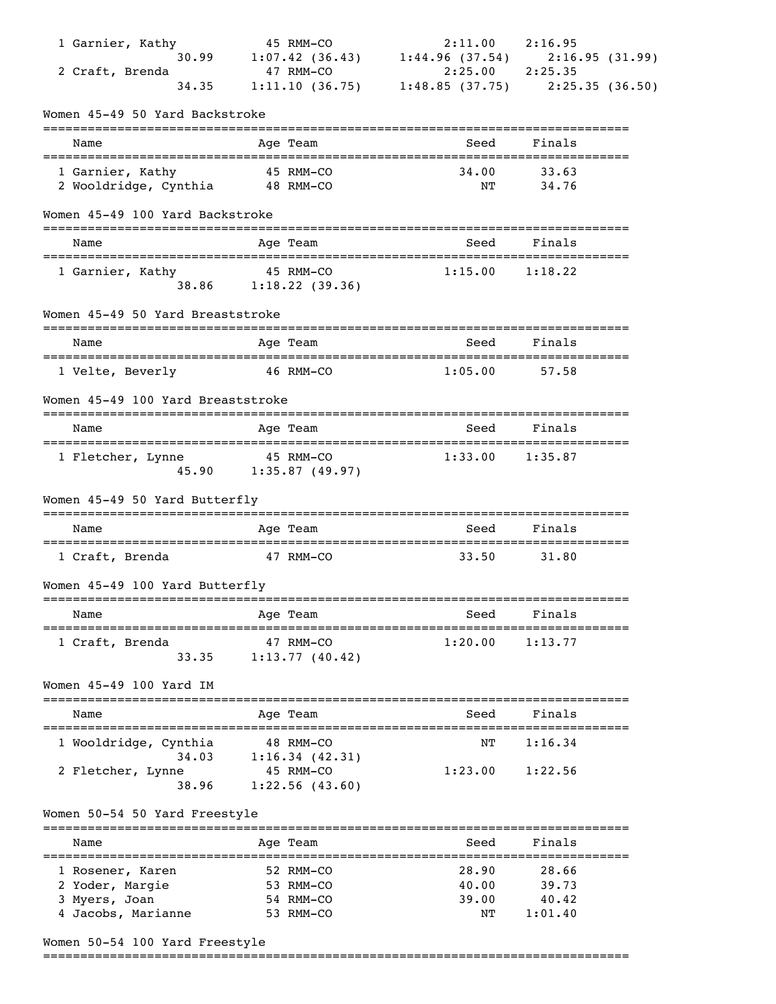| 1 Garnier, Kathy                                    | 45 RMM-CO                          | 2:11.00                                                                | 2:16.95                      |  |
|-----------------------------------------------------|------------------------------------|------------------------------------------------------------------------|------------------------------|--|
| 30.99                                               |                                    | $1:07.42$ (36.43) $1:44.96$ (37.54) $2:16.95$ (31.99)                  |                              |  |
| 2 Craft, Brenda<br>34.35                            | 47 RMM-CO                          | $2:25.00$ $2:25.35$<br>1:11.10 (36.75) 1:48.85 (37.75) 2:25.35 (36.50) |                              |  |
| Women 45-49 50 Yard Backstroke                      |                                    |                                                                        |                              |  |
| Name                                                | Age Team                           | Seed                                                                   | Finals                       |  |
|                                                     |                                    | 34.00                                                                  |                              |  |
| 1 Garnier, Kathy<br>2 Wooldridge, Cynthia 48 RMM-CO | 45 RMM-CO                          | ΝT                                                                     | 33.63<br>34.76               |  |
| Women 45-49 100 Yard Backstroke                     |                                    |                                                                        |                              |  |
| Name                                                | Age Team                           | Seed                                                                   | Finals                       |  |
|                                                     |                                    |                                                                        |                              |  |
| 1 Garnier, Kathy                                    | 45 RMM-CO<br>38.86 1:18.22 (39.36) | $1:15.00$ $1:18.22$                                                    |                              |  |
| Women 45-49 50 Yard Breaststroke                    |                                    |                                                                        |                              |  |
| Name                                                | Age Team                           | Seed                                                                   | Finals                       |  |
| 1 Velte, Beverly                                    | 46 RMM-CO                          | 1:05.00                                                                | 57.58                        |  |
| Women 45-49 100 Yard Breaststroke                   |                                    |                                                                        |                              |  |
| Name                                                | Age Team                           | Seed                                                                   | Finals                       |  |
| 1 Fletcher, Lynne                                   | 45 RMM-CO<br>45.90 1:35.87 (49.97) | 1:33.00                                                                | 1:35.87                      |  |
| Women 45-49 50 Yard Butterfly                       |                                    |                                                                        |                              |  |
| Name                                                | Age Team                           | Seed                                                                   | Finals                       |  |
| 1 Craft, Brenda                                     | 47 RMM-CO                          | 33.50                                                                  | 31.80                        |  |
| Women 45-49 100 Yard Butterfly                      |                                    |                                                                        |                              |  |
| Name                                                | Age Team                           | Seed                                                                   | Finals                       |  |
| 1 Craft, Brenda                                     | 47 RMM-CO                          | 1:20.00                                                                | 1:13.77                      |  |
| 33.35                                               | 1:13.77(40.42)                     |                                                                        |                              |  |
| Women 45-49 100 Yard IM                             |                                    |                                                                        |                              |  |
| Name                                                | Age Team                           | Seed                                                                   | Finals                       |  |
| 1 Wooldridge, Cynthia<br>34.03                      | 48 RMM-CO<br>1:16.34(42.31)        | ΝT                                                                     | 1:16.34                      |  |
| 2 Fletcher, Lynne<br>38.96                          | 45 RMM-CO<br>1:22.56(43.60)        | 1:23.00                                                                | 1:22.56                      |  |
| Women 50-54 50 Yard Freestyle                       |                                    |                                                                        |                              |  |
| Name                                                | Age Team                           | --------------<br>Seed                                                 | ------------------<br>Finals |  |
| ---------------------                               |                                    |                                                                        | ---------                    |  |
| 1 Rosener, Karen                                    | 52 RMM-CO                          | 28.90                                                                  | 28.66                        |  |
| 2 Yoder, Margie<br>3 Myers, Joan                    | 53 RMM-CO<br>54 RMM-CO             | 40.00<br>39.00                                                         | 39.73<br>40.42               |  |
| 4 Jacobs, Marianne                                  | 53 RMM-CO                          | NΤ                                                                     | 1:01.40                      |  |
|                                                     |                                    |                                                                        |                              |  |

# Women 50-54 100 Yard Freestyle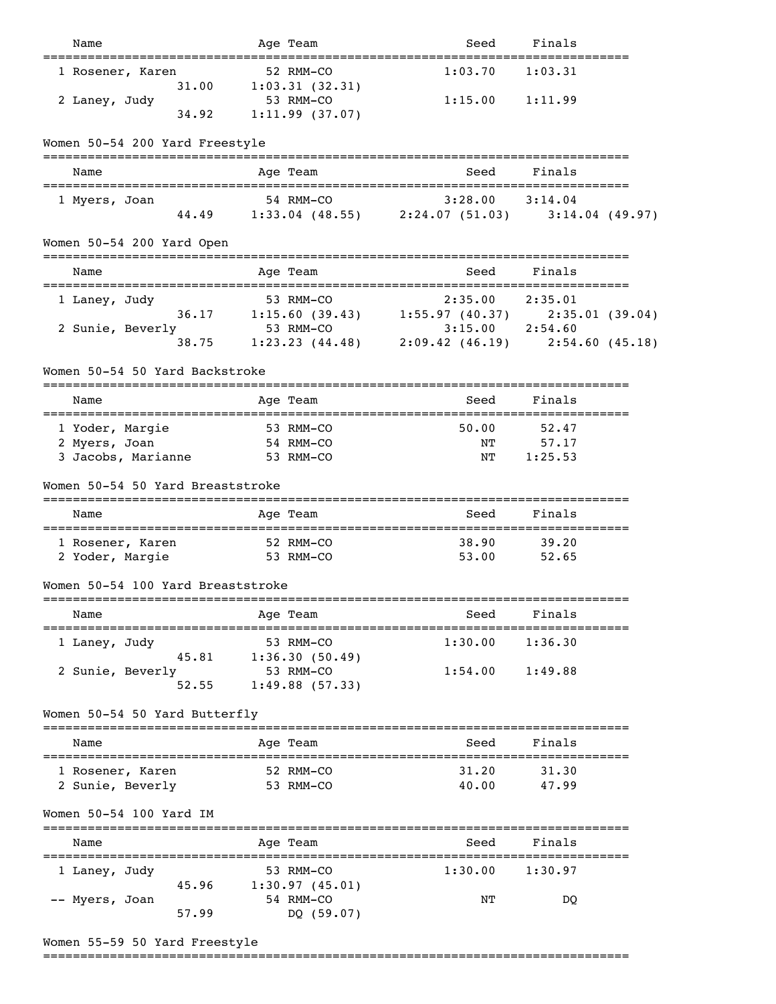| Name                                                             | Age Team<br>===========                                            | Seed                                    | Finals           |  |
|------------------------------------------------------------------|--------------------------------------------------------------------|-----------------------------------------|------------------|--|
| 1 Rosener, Karen                                                 | 52 RMM-CO                                                          | 1:03.70                                 | 1:03.31          |  |
| 31.00<br>2 Laney, Judy                                           | 1:03.31(32.31)<br>53 RMM-CO                                        | 1:15.00                                 | 1:11.99          |  |
| 34.92                                                            | 1:11.99(37.07)                                                     |                                         |                  |  |
| Women 50-54 200 Yard Freestyle                                   | ========                                                           |                                         |                  |  |
| Name                                                             | Age Team                                                           | Seed                                    | Finals           |  |
| 1 Myers, Joan                                                    | 54 RMM-CO                                                          | 3:28.00                                 | 3:14.04          |  |
| 44.49                                                            | 1:33.04 (48.55) 2:24.07 (51.03) 3:14.04 (49.97)                    |                                         |                  |  |
| Women 50-54 200 Yard Open                                        |                                                                    |                                         |                  |  |
| Name                                                             | Age Team                                                           | Seed                                    | Finals           |  |
| 1 Laney, Judy                                                    | 53 RMM-CO                                                          | 2:35.00                                 | 2:35.01          |  |
| 2 Sunie, Beverly                                                 | 36.17 1:15.60 (39.43) 1:55.97 (40.37) 2:35.01 (39.04)<br>53 RMM-CO | $3:15.00$ $2:54.60$                     |                  |  |
| 38.75                                                            | 1:23.23 (44.48) 2:09.42 (46.19) 2:54.60 (45.18)                    |                                         |                  |  |
| Women 50-54 50 Yard Backstroke<br>============================== | =========                                                          |                                         |                  |  |
| Name                                                             | Age Team                                                           | Seed<br>=============================== | Finals           |  |
| 1 Yoder, Margie                                                  | 53 RMM-CO                                                          | 50.00                                   | 52.47            |  |
| 2 Myers, Joan<br>3 Jacobs, Marianne                              | 54 RMM-CO<br>53 RMM-CO                                             | NT<br>NT                                | 57.17<br>1:25.53 |  |
|                                                                  |                                                                    |                                         |                  |  |
| Women 50-54 50 Yard Breaststroke                                 |                                                                    |                                         |                  |  |
| Name                                                             | Age Team                                                           | Seed                                    | Finals           |  |
| 1 Rosener, Karen                                                 | 52 RMM-CO                                                          | 38.90                                   | 39.20            |  |
| 2 Yoder, Margie                                                  | 53 RMM-CO                                                          | 53.00                                   | 52.65            |  |
| Women 50-54 100 Yard Breaststroke                                |                                                                    |                                         |                  |  |
| Name                                                             | Age Team                                                           | Seed                                    | Finals           |  |
| 1 Laney, Judy                                                    | 53 RMM-CO                                                          | 1:30.00                                 | 1:36.30          |  |
| 45.81<br>2 Sunie, Beverly                                        | 1:36.30(50.49)<br>53 RMM-CO                                        | 1:54.00                                 | 1:49.88          |  |
| 52.55                                                            | 1:49.88(57.33)                                                     |                                         |                  |  |
| Women 50-54 50 Yard Butterfly                                    | ===================                                                |                                         |                  |  |
| Name                                                             | Age Team                                                           | Seed                                    | Finals           |  |
| -------------------------------------<br>1 Rosener, Karen        | 52 RMM-CO                                                          | ----------------------<br>31.20         | 31.30            |  |
| 2 Sunie, Beverly                                                 | 53 RMM-CO                                                          | 40.00                                   | 47.99            |  |
| Women 50-54 100 Yard IM                                          |                                                                    |                                         |                  |  |
| Name                                                             | Age Team                                                           | Seed                                    | Finals           |  |
| 1 Laney, Judy                                                    | 53 RMM-CO                                                          | 1:30.00                                 | 1:30.97          |  |
| 45.96<br>-- Myers, Joan                                          | 1:30.97(45.01)<br>54 RMM-CO                                        | NΤ                                      | DQ               |  |
| 57.99                                                            | DQ (59.07)                                                         |                                         |                  |  |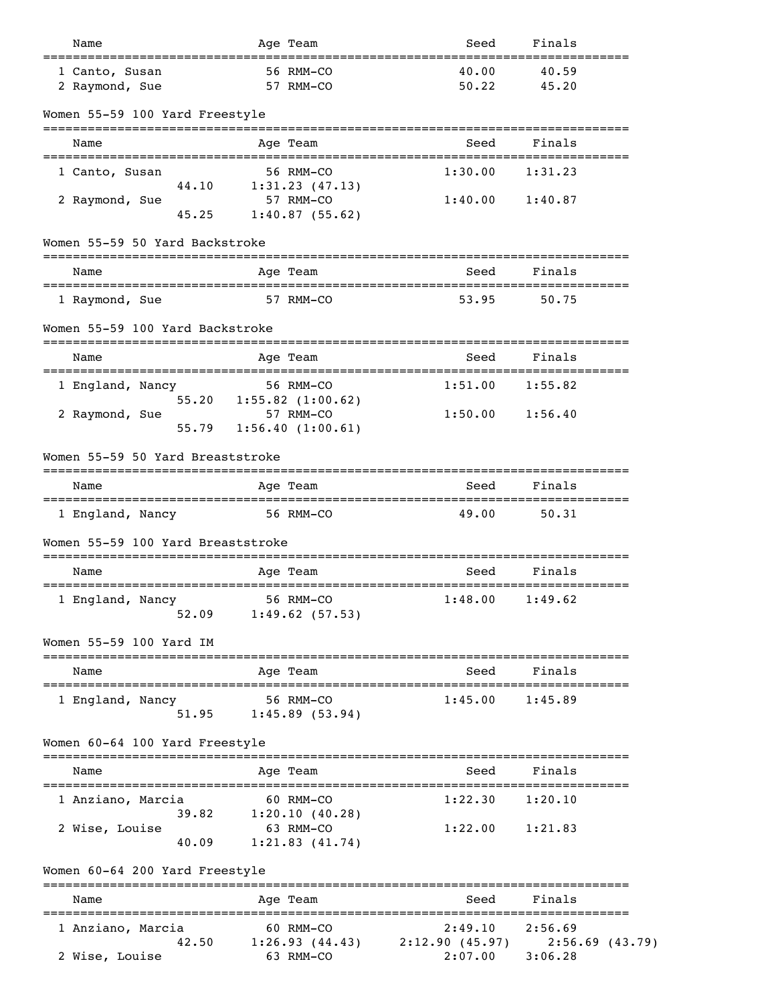| Name                                                              | Age Team                                              | Seed                                         | Finals                        |
|-------------------------------------------------------------------|-------------------------------------------------------|----------------------------------------------|-------------------------------|
| 1 Canto, Susan<br>2 Raymond, Sue                                  | 56 RMM-CO<br>57 RMM-CO                                | 40.00<br>50.22                               | 40.59<br>45.20                |
| Women 55-59 100 Yard Freestyle                                    |                                                       |                                              |                               |
| Name                                                              | Age Team                                              | Seed                                         | Finals                        |
| 1 Canto, Susan                                                    | 56 RMM-CO                                             | 1:30.00                                      | 1:31.23                       |
| 44.10<br>2 Raymond, Sue<br>45.25                                  | 1:31.23(47.13)<br>57 RMM-CO<br>1:40.87(55.62)         | 1:40.00                                      | 1:40.87                       |
| Women 55-59 50 Yard Backstroke<br>_______________________________ | =========                                             |                                              |                               |
| Name                                                              | Age Team                                              | Seed                                         | Finals                        |
| 1 Raymond, Sue                                                    | 57 RMM-CO                                             | 53.95                                        | 50.75                         |
| Women 55-59 100 Yard Backstroke                                   |                                                       |                                              | ------------                  |
| Name                                                              | Age Team                                              | Seed                                         | Finals                        |
| 1 England, Nancy<br>55.20                                         | 56 RMM-CO<br>$1:55.82$ $(1:00.62)$                    | 1:51.00                                      | 1:55.82                       |
| 2 Raymond, Sue<br>55.79                                           | 57 RMM-CO<br>1:56.40(1:00.61)                         | 1:50.00                                      | 1:56.40                       |
| Women 55-59 50 Yard Breaststroke                                  |                                                       |                                              |                               |
| Name                                                              | Age Team                                              | Seed                                         | Finals                        |
| ======================================<br>1 England, Nancy        | 56 RMM-CO                                             | ========================<br>49.00            | ====================<br>50.31 |
| Women 55-59 100 Yard Breaststroke                                 |                                                       |                                              |                               |
| Name                                                              | Age Team                                              | Seed                                         | Finals                        |
| 1 England, Nancy<br>52.09                                         | 56 RMM-CO<br>1:49.62(57.53)                           | 1:48.00                                      | 1:49.62                       |
| Women 55-59 100 Yard IM                                           |                                                       |                                              |                               |
| Name<br>=================                                         | Age Team<br>============                              | Seed                                         | Finals                        |
| 1 England, Nancy<br>51.95                                         | 56 RMM-CO<br>1:45.89(53.94)                           | 1:45.00                                      | 1:45.89                       |
| Women 60-64 100 Yard Freestyle                                    |                                                       |                                              |                               |
| Name                                                              | Age Team                                              | Seed                                         | Finals                        |
| 1 Anziano, Marcia                                                 | 60 RMM-CO                                             | 1:22.30                                      | 1:20.10                       |
| 39.82<br>2 Wise, Louise<br>40.09                                  | 1:20.10(40.28)<br>63 RMM-CO<br>1:21.83(41.74)         | 1:22.00                                      | 1:21.83                       |
| Women 60-64 200 Yard Freestyle<br>==============================  |                                                       |                                              | ------------------            |
| Name                                                              | ============<br>Age Team<br>------------------------- | Seed                                         | Finals<br>------------------  |
| 1 Anziano, Marcia                                                 | 60 RMM-CO                                             | 2:49.10                                      | 2:56.69                       |
| 42.50<br>2 Wise, Louise                                           | 63 RMM-CO                                             | $1:26.93(44.43)$ $2:12.90(45.97)$<br>2:07.00 | $2:56.69$ (43.79)<br>3:06.28  |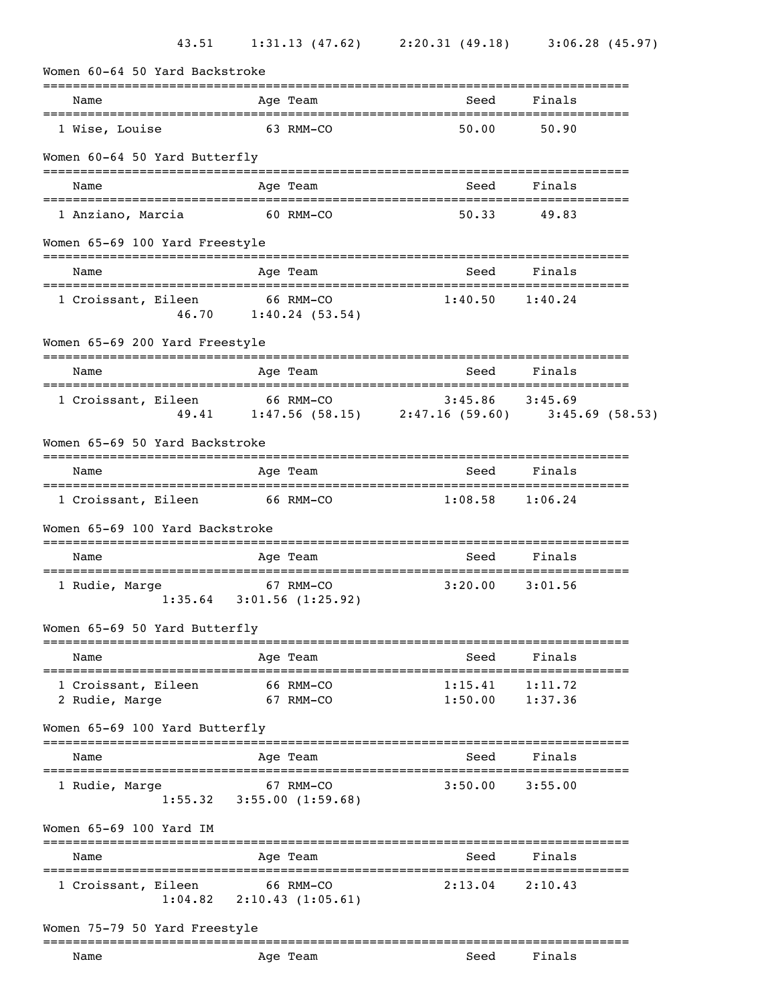| Women 60-64 50 Yard Backstroke                                   |                                                                    |                                     |                                 |
|------------------------------------------------------------------|--------------------------------------------------------------------|-------------------------------------|---------------------------------|
| Name                                                             | Age Team                                                           | Seed                                | Finals                          |
| 1 Wise, Louise                                                   | 63 RMM-CO                                                          | 50.00                               | 50.90                           |
| Women 60-64 50 Yard Butterfly                                    |                                                                    |                                     |                                 |
| Name                                                             | Age Team                                                           | Seed                                | Finals                          |
| 1 Anziano, Marcia                                                | 60 RMM-CO                                                          | 50.33                               | 49.83                           |
| Women 65-69 100 Yard Freestyle                                   |                                                                    |                                     |                                 |
| Name                                                             | Age Team                                                           | Seed                                | Finals                          |
| 1 Croissant, Eileen<br>46.70                                     | 66 RMM-CO<br>1:40.24(53.54)                                        | 1:40.50                             | 1:40.24                         |
| Women 65-69 200 Yard Freestyle<br>______________________________ | -----------------                                                  |                                     | ------------------------------  |
| Name                                                             | Age Team<br>.==================================                    | Seed                                | Finals<br>--------------------  |
| 1 Croissant, Eileen<br>49.41                                     | 66 RMM-CO<br>$1:47.56$ (58.15) $2:47.16$ (59.60) $3:45.69$ (58.53) | 3:45.86                             | 3:45.69                         |
| Women 65-69 50 Yard Backstroke                                   |                                                                    |                                     |                                 |
| Name                                                             | Age Team                                                           | Seed                                | Finals                          |
| 1 Croissant, Eileen                                              | 66 RMM-CO                                                          | 1:08.58                             | 1:06.24                         |
| Women 65-69 100 Yard Backstroke                                  |                                                                    |                                     |                                 |
| Name                                                             | Age Team                                                           | Seed                                | ------------------<br>Finals    |
| =====================================<br>1 Rudie, Marge          | 67 RMM-CO<br>$1:35.64$ $3:01.56$ (1:25.92)                         | ========================<br>3:20.00 | ====================<br>3:01.56 |
| Women 65-69 50 Yard Butterfly                                    | -----------                                                        |                                     |                                 |
| Name<br>____________________________________                     | Age Team                                                           | Seed<br>. ======================    | Finals<br>---------             |
| 1 Croissant, Eileen<br>2 Rudie, Marge                            | 66 RMM-CO<br>67 RMM-CO                                             | 1:15.41<br>1:50.00                  | 1:11.72<br>1:37.36              |
| Women 65-69 100 Yard Butterfly                                   |                                                                    |                                     |                                 |
| Name                                                             | Age Team                                                           | Seed                                | Finals                          |
| 1 Rudie, Marge                                                   | 67 RMM-CO<br>$1:55.32$ $3:55.00$ $(1:59.68)$                       | 3:50.00                             | 3:55.00                         |
| Women 65-69 100 Yard IM                                          |                                                                    |                                     |                                 |
| Name                                                             | Age Team                                                           | Seed                                | Finals                          |
|                                                                  |                                                                    |                                     |                                 |
| 1 Croissant, Eileen<br>1:04.82                                   | 66 RMM-CO<br>2:10.43(1:05.61)                                      | 2:13.04                             | 2:10.43                         |

Name Age Team Seed Finals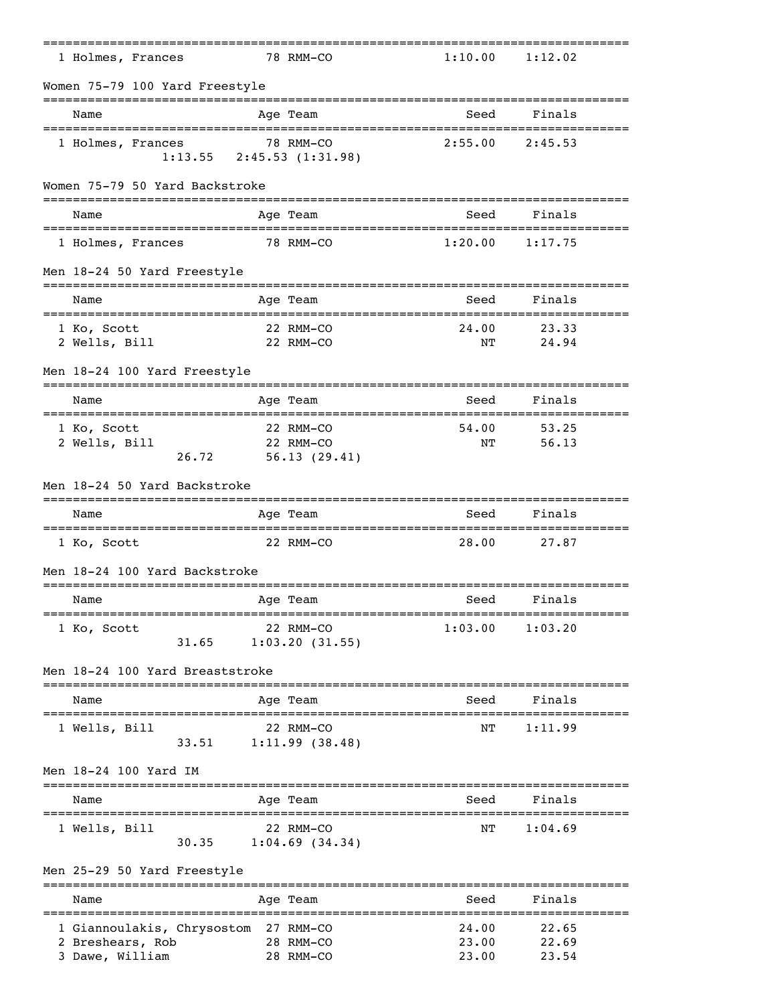| 1 Holmes, Frances                                              |                                 |            | 78 RMM-CO                              | 1:10.00        | 1:12.02        |  |
|----------------------------------------------------------------|---------------------------------|------------|----------------------------------------|----------------|----------------|--|
| Women 75-79 100 Yard Freestyle                                 |                                 |            |                                        |                |                |  |
| Name                                                           |                                 |            | Age Team                               | Seed           | Finals         |  |
| 1 Holmes, Frances                                              | $1:13.55$ $2:45.53$ $(1:31.98)$ |            | 78 RMM-CO                              | 2:55.00        | 2:45.53        |  |
| Women 75-79 50 Yard Backstroke                                 |                                 |            |                                        |                |                |  |
| Name                                                           |                                 |            | Age Team                               | Seed           | Finals         |  |
| 1 Holmes, Frances                                              |                                 |            | 78 RMM-CO                              | 1:20.00        | 1:17.75        |  |
| Men 18-24 50 Yard Freestyle                                    |                                 |            |                                        |                |                |  |
| Name                                                           |                                 |            | Age Team                               | Seed           | Finals         |  |
| 1 Ko, Scott<br>2 Wells, Bill                                   |                                 |            | 22 RMM-CO<br>22 RMM-CO                 | 24.00<br>NΤ    | 23.33<br>24.94 |  |
| Men 18-24 100 Yard Freestyle                                   |                                 |            |                                        |                |                |  |
| Name                                                           |                                 |            | Age Team                               | Seed           | Finals         |  |
| 1 Ko, Scott<br>2 Wells, Bill                                   | 26.72                           |            | 22 RMM-CO<br>22 RMM-CO<br>56.13(29.41) | 54.00<br>NΤ    | 53.25<br>56.13 |  |
| Men 18-24 50 Yard Backstroke                                   |                                 |            |                                        |                |                |  |
| Name                                                           |                                 |            | Age Team                               | Seed           | Finals         |  |
| 1 Ko, Scott                                                    |                                 |            | 22 RMM-CO                              | 28.00          | 27.87          |  |
| Men 18-24 100 Yard Backstroke                                  |                                 |            |                                        |                |                |  |
| Name                                                           |                                 |            | Age Team                               | Seed           | Finals         |  |
| 1 Ko, Scott                                                    | 31.65                           |            | 22 RMM-CO<br>1:03.20(31.55)            | 1:03.00        | 1:03.20        |  |
| Men 18-24 100 Yard Breaststroke<br>___________________________ |                                 |            |                                        |                |                |  |
| Name                                                           |                                 |            | Age Team                               | Seed           | Finals         |  |
| 1 Wells, Bill                                                  | 33.51                           |            | 22 RMM-CO<br>1:11.99(38.48)            | NΤ             | 1:11.99        |  |
| Men 18-24 100 Yard IM                                          |                                 |            |                                        |                |                |  |
| =====================<br>Name                                  |                                 |            | Age Team                               | Seed           | Finals         |  |
| 1 Wells, Bill                                                  | 30.35                           |            | 22 RMM-CO<br>$1:04.69$ (34.34)         | NΤ             | 1:04.69        |  |
| Men 25-29 50 Yard Freestyle                                    |                                 |            |                                        |                |                |  |
| Name                                                           |                                 | ---------- | Age Team                               | Seed           | Finals         |  |
| 1 Giannoulakis, Chrysostom 27 RMM-CO<br>2 Breshears, Rob       |                                 |            | 28 RMM-CO                              | 24.00<br>23.00 | 22.65<br>22.69 |  |
| 3 Dawe, William                                                |                                 |            | 28 RMM-CO                              | 23.00          | 23.54          |  |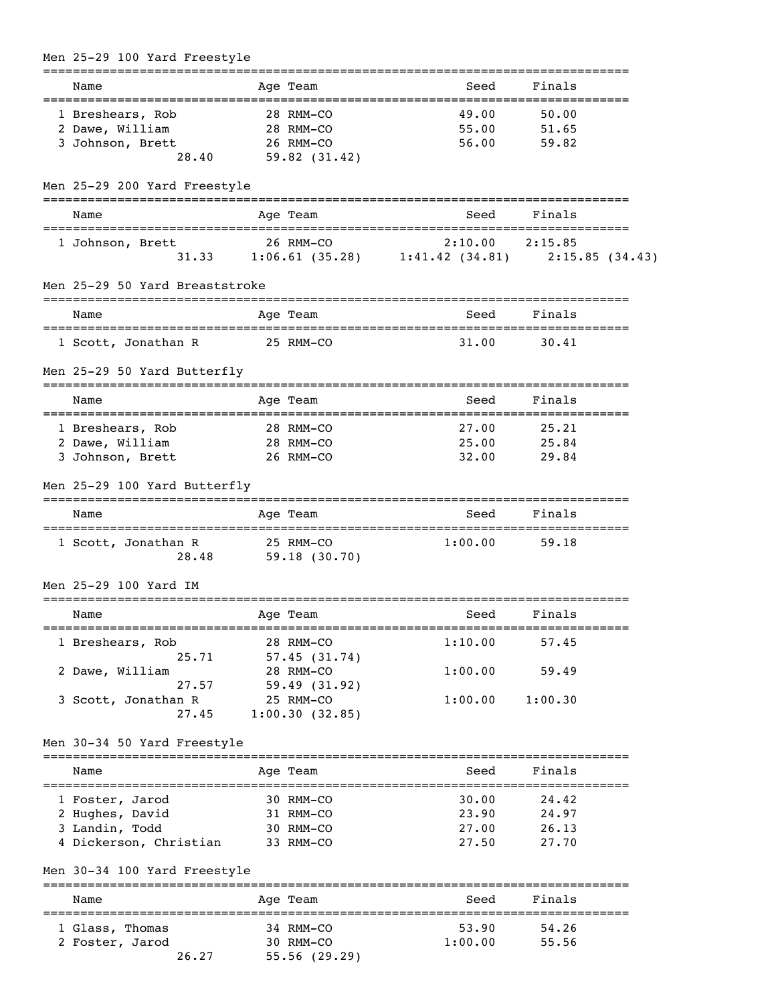| Name                                                   | Age Team               | Seed                                                  | Finals                      |
|--------------------------------------------------------|------------------------|-------------------------------------------------------|-----------------------------|
| ==================================<br>1 Breshears, Rob | 28 RMM-CO              | 49.00                                                 | 50.00                       |
| 2 Dawe, William                                        | 28 RMM-CO              | 55.00                                                 | 51.65                       |
| 3 Johnson, Brett                                       | 26 RMM-CO              | 56.00                                                 | 59.82                       |
| 28.40                                                  | 59.82(31.42)           |                                                       |                             |
|                                                        |                        |                                                       |                             |
| Men 25-29 200 Yard Freestyle                           |                        |                                                       |                             |
| Name                                                   | Age Team               | Seed                                                  | Finals                      |
| 1 Johnson, Brett                                       | 26 RMM-CO              | 2:10.00                                               | 2:15.85                     |
|                                                        |                        | 31.33 1:06.61 (35.28) 1:41.42 (34.81) 2:15.85 (34.43) |                             |
| Men 25-29 50 Yard Breaststroke                         |                        |                                                       |                             |
| Name                                                   | Age Team               | Seed                                                  | Finals                      |
| 1 Scott, Jonathan R                                    | 25 RMM-CO              | -----------------------------------<br>31.00          | ----------<br>30.41         |
| Men 25-29 50 Yard Butterfly                            |                        |                                                       |                             |
| Name                                                   | Age Team               | -----------------<br>Seed                             | -----------------<br>Finals |
| 1 Breshears, Rob                                       | 28 RMM-CO              | 27.00                                                 | 25.21                       |
| 2 Dawe, William                                        | 28 RMM-CO              | 25.00                                                 | 25.84                       |
| 3 Johnson, Brett                                       | 26 RMM-CO              | 32.00                                                 | 29.84                       |
|                                                        |                        |                                                       |                             |
| Men 25-29 100 Yard Butterfly                           |                        |                                                       |                             |
| Name                                                   | Age Team               | Seed                                                  | Finals                      |
| 1 Scott, Jonathan R                                    | 25 RMM-CO              | 1:00.00                                               | 59.18                       |
| 28.48                                                  | 59.18(30.70)           |                                                       |                             |
|                                                        |                        |                                                       |                             |
| Men 25-29 100 Yard IM                                  |                        |                                                       |                             |
| Name                                                   | Age Team               | Seed                                                  | Finals                      |
|                                                        | 28 RMM-CO              | 1:10.00                                               | 57.45                       |
| 1 Breshears, Rob<br>25.71                              | 57.45(31.74)           |                                                       |                             |
| 2 Dawe, William                                        | 28 RMM-CO              | 1:00.00                                               | 59.49                       |
| 27.57                                                  | 59.49(31.92)           |                                                       |                             |
| 3 Scott, Jonathan R                                    | 25 RMM-CO              | 1:00.00                                               | 1:00.30                     |
| 27.45                                                  | 1:00.30(32.85)         |                                                       |                             |
|                                                        |                        |                                                       |                             |
| Men 30-34 50 Yard Freestyle                            |                        |                                                       |                             |
| Name                                                   | Age Team               | Seed                                                  | Finals                      |
|                                                        |                        |                                                       |                             |
| 1 Foster, Jarod                                        | 30 RMM-CO              | 30.00                                                 | 24.42                       |
| 2 Hughes, David                                        | 31 RMM-CO              | 23.90                                                 | 24.97                       |
| 3 Landin, Todd<br>4 Dickerson, Christian               | 30 RMM-CO<br>33 RMM-CO | 27.00<br>27.50                                        | 26.13<br>27.70              |
|                                                        |                        |                                                       |                             |
| Men 30-34 100 Yard Freestyle                           |                        |                                                       | =================           |
| Name<br>======================                         | Age Team               | Seed                                                  | Finals<br>=========         |
| 1 Glass, Thomas                                        | 34 RMM-CO              | 53.90                                                 | 54.26                       |
| 2 Foster, Jarod                                        | 30 RMM-CO              | 1:00.00                                               | 55.56                       |
| 26.27                                                  | 55.56(29.29)           |                                                       |                             |

# Men 25-29 100 Yard Freestyle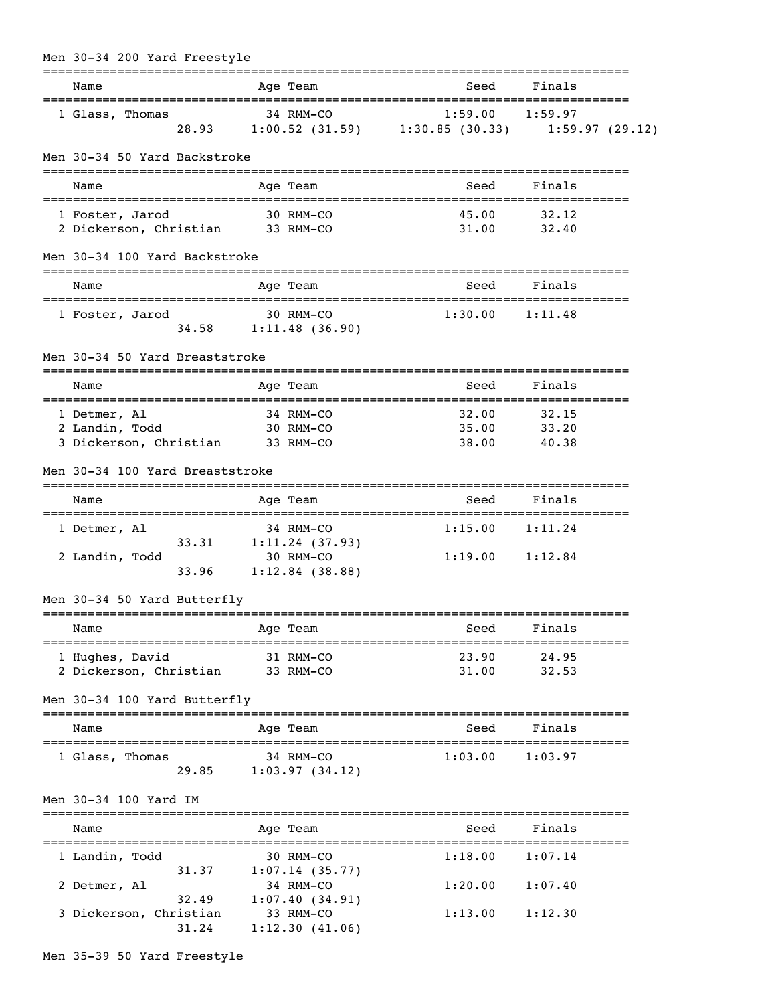| Men 30-34 200 Yard Freestyle                                       |             |                                                               |                                                                                 |                         |  |
|--------------------------------------------------------------------|-------------|---------------------------------------------------------------|---------------------------------------------------------------------------------|-------------------------|--|
| Name                                                               |             | Age Team                                                      | =============================<br>Seed                                           | Finals                  |  |
| 1 Glass, Thomas<br>28.93                                           | $34$ RMM-CO |                                                               | 34 RMM-CO<br>1:59.00 1:59.97<br>1:00.52 (31.59) 1:30.85 (30.33) 1:59.97 (29.12) |                         |  |
| Men 30-34 50 Yard Backstroke                                       |             |                                                               |                                                                                 |                         |  |
| Name                                                               |             | Age Team                                                      | Seed                                                                            | Finals                  |  |
| 1 Foster, Jarod<br>2 Dickerson, Christian 33 RMM-CO                |             | 30 RMM-CO                                                     | 45.00<br>31.00                                                                  | 32.12<br>32.40          |  |
| Men 30-34 100 Yard Backstroke                                      |             |                                                               |                                                                                 |                         |  |
| Name                                                               |             | Age Team                                                      | Seed                                                                            | Finals                  |  |
| 1 Foster, Jarod                                                    |             | 30 RMM-CO<br>34.58 1:11.48 (36.90)                            | 1:30.00                                                                         | 1:11.48                 |  |
| Men 30-34 50 Yard Breaststroke                                     |             |                                                               |                                                                                 |                         |  |
| Name                                                               |             | Age Team                                                      | Seed                                                                            | Finals                  |  |
| 1 Detmer, Al<br>2 Landin, Todd<br>3 Dickerson, Christian 33 RMM-CO |             | 34 RMM-CO<br>30 RMM-CO                                        | 32.00<br>35.00<br>38.00                                                         | 32.15<br>33.20<br>40.38 |  |
| Men 30-34 100 Yard Breaststroke                                    |             |                                                               |                                                                                 |                         |  |
| Name                                                               |             | Age Team                                                      | Seed                                                                            | Finals                  |  |
| 1 Detmer, Al<br>33.31<br>2 Landin, Todd<br>33.96                   |             | 34 RMM-CO<br>1:11.24(37.93)<br>30 RMM-CO<br>$1:12.84$ (38.88) | 1:15.00<br>$1:19.00$ $1:12.84$                                                  | 1:11.24                 |  |
| Men 30-34 50 Yard Butterfly                                        |             |                                                               |                                                                                 |                         |  |
| =======================<br>Name                                    |             | Age Team                                                      | Seed                                                                            | Finals                  |  |
| 1 Hughes, David<br>2 Dickerson, Christian                          |             | 31 RMM-CO<br>33 RMM-CO                                        | 23.90<br>31.00                                                                  | 24.95<br>32.53          |  |
| Men 30-34 100 Yard Butterfly                                       |             |                                                               |                                                                                 |                         |  |
| Name                                                               |             | =========<br>Age Team                                         | Seed                                                                            | Finals                  |  |
| 1 Glass, Thomas<br>29.85                                           |             | ============================<br>34 RMM-CO<br>1:03.97(34.12)   | 1:03.00                                                                         | 1:03.97                 |  |
| Men 30-34 100 Yard IM                                              |             |                                                               |                                                                                 |                         |  |
| Name                                                               |             | Age Team                                                      | Seed                                                                            | Finals                  |  |
| 1 Landin, Todd                                                     |             | 30 RMM-CO                                                     | 1:18.00                                                                         | 1:07.14                 |  |
| 31.37<br>2 Detmer, Al<br>32.49                                     |             | 1:07.14(35.77)<br>34 RMM-CO<br>1:07.40(34.91)                 | 1:20.00                                                                         | 1:07.40                 |  |
| 3 Dickerson, Christian<br>31.24                                    |             | 33 RMM-CO<br>1:12.30(41.06)                                   | 1:13.00                                                                         | 1:12.30                 |  |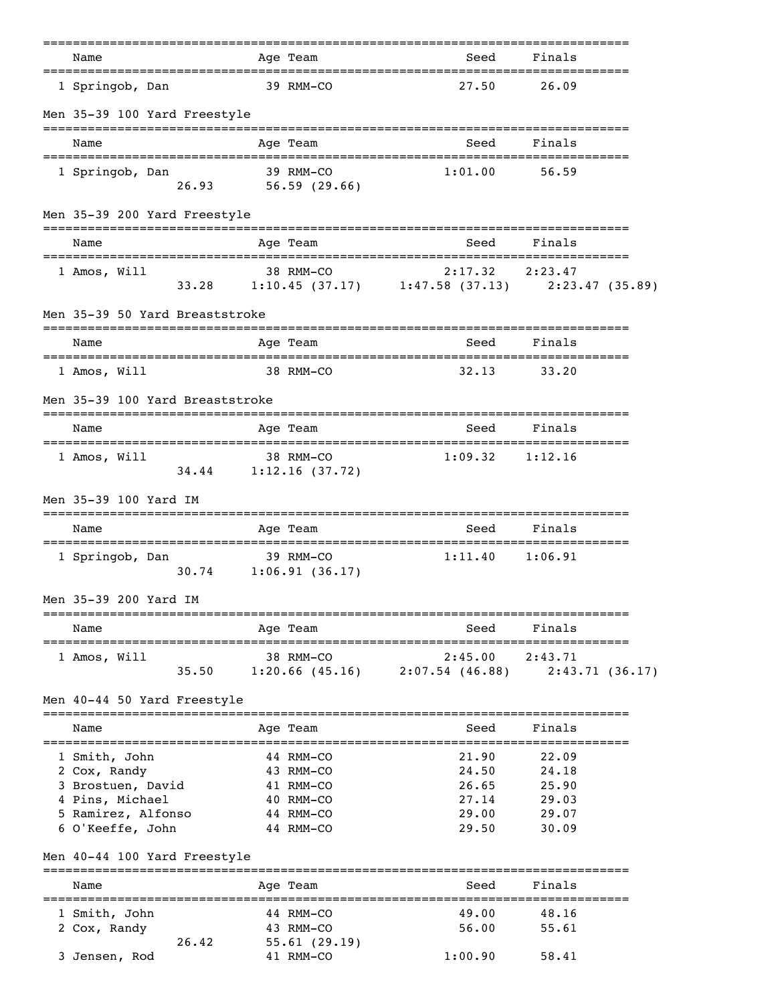| Name                                                 |                                      | Age Team                  | Seed                                                                         | Finals                       |  |
|------------------------------------------------------|--------------------------------------|---------------------------|------------------------------------------------------------------------------|------------------------------|--|
| =================================<br>1 Springob, Dan |                                      | 39 RMM-CO                 | ================================<br>27.50                                    | 26.09                        |  |
| Men 35-39 100 Yard Freestyle                         |                                      |                           |                                                                              |                              |  |
| Name                                                 |                                      | Age Team                  | Seed                                                                         | Finals                       |  |
| 1 Springob, Dan                                      | $26.93$ $56.59$ (29.66)              | 39 RMM-CO                 | 1:01.00                                                                      | 56.59                        |  |
| Men 35-39 200 Yard Freestyle                         |                                      |                           |                                                                              |                              |  |
| Name                                                 |                                      | Age Team                  | Seed                                                                         | Finals                       |  |
| 1 Amos, Will                                         |                                      | 38 RMM-CO                 | $2:17.32$ $2:23.47$<br>33.28 1:10.45 (37.17) 1:47.58 (37.13) 2:23.47 (35.89) |                              |  |
| Men 35-39 50 Yard Breaststroke                       |                                      |                           |                                                                              |                              |  |
| Name                                                 |                                      | =============<br>Age Team | Seed                                                                         | Finals                       |  |
| 1 Amos, Will                                         |                                      | 38 RMM-CO                 | 32.13                                                                        | 33.20                        |  |
| Men 35-39 100 Yard Breaststroke                      |                                      |                           |                                                                              |                              |  |
| Name                                                 |                                      | Age Team                  | Seed                                                                         | Finals                       |  |
| 1 Amos, Will                                         | 34.44 1:12.16 (37.72)                | 38 RMM-CO                 | 1:09.32                                                                      | 1:12.16                      |  |
| Men 35-39 100 Yard IM                                |                                      |                           |                                                                              |                              |  |
| Name                                                 |                                      | Age Team                  | Seed                                                                         | Finals                       |  |
| 1 Springob, Dan                                      | $30.74$ 1:06.91 (36.17)              | 39 RMM-CO                 | 1:11.40                                                                      | 1:06.91                      |  |
| Men 35-39 200 Yard IM                                |                                      |                           |                                                                              |                              |  |
| Name                                                 |                                      | Age Team                  | Seed                                                                         | Finals                       |  |
| 1 Amos, Will                                         | 35.50                                | 38 RMM-CO                 | 2:45.00<br>$1:20.66$ (45.16) $2:07.54$ (46.88)                               | 2:43.71<br>2:43.71(36.17)    |  |
| Men 40-44 50 Yard Freestyle                          |                                      |                           | ======================================                                       |                              |  |
| Name                                                 |                                      | Age Team                  | Seed                                                                         | Finals                       |  |
| 1 Smith, John<br>2 Cox, Randy                        |                                      | 44 RMM-CO<br>43 RMM-CO    | 21.90<br>24.50                                                               | 22.09<br>24.18               |  |
| 3 Brostuen, David                                    |                                      | 41 RMM-CO                 | 26.65                                                                        | 25.90                        |  |
| 4 Pins, Michael                                      |                                      | 40 RMM-CO                 | 27.14                                                                        | 29.03                        |  |
| 5 Ramirez, Alfonso                                   |                                      | 44 RMM-CO                 | 29.00                                                                        | 29.07                        |  |
| 6 O'Keeffe, John                                     |                                      | 44 RMM-CO                 | 29.50                                                                        | 30.09                        |  |
| Men 40-44 100 Yard Freestyle                         |                                      |                           |                                                                              | ---------                    |  |
| Name                                                 | :=================================== | Age Team                  | Seed<br>==========================                                           | Finals<br>================== |  |
| 1 Smith, John                                        |                                      | 44 RMM-CO                 | 49.00                                                                        | 48.16                        |  |
| 2 Cox, Randy                                         |                                      | 43 RMM-CO                 | 56.00                                                                        | 55.61                        |  |
|                                                      | 26.42                                | 55.61(29.19)              |                                                                              |                              |  |
| 3 Jensen, Rod                                        |                                      | 41 RMM-CO                 | 1:00.90                                                                      | 58.41                        |  |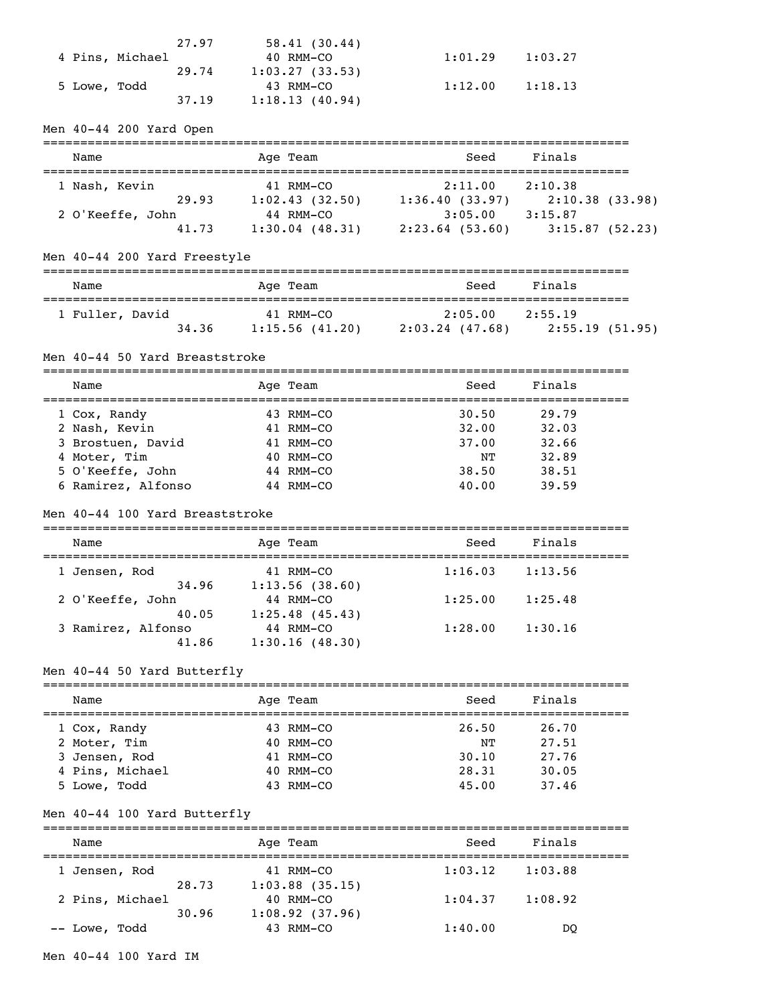| 27.97           | 58.41(30.44)   |         |         |
|-----------------|----------------|---------|---------|
| 4 Pins, Michael | 40 RMM-CO      | 1:01.29 | 1:03.27 |
| 29.74           | 1:03.27(33.53) |         |         |
| 5 Lowe, Todd    | 43 RMM-CO      | 1:12.00 | 1:18.13 |
| 37.19           | 1:18.13(40.94) |         |         |

Men 40-44 200 Yard Open

| Name             |       |  | Age Team          | Seed              | Finals         |  |  |
|------------------|-------|--|-------------------|-------------------|----------------|--|--|
| 1 Nash, Kevin    |       |  | 41 RMM-CO         | 2:11.00           | 2:10.38        |  |  |
|                  | 29.93 |  | 1:02.43(32.50)    | 1:36.40(33.97)    | 2:10.38(33.98) |  |  |
| 2 O'Keeffe, John |       |  | 44 RMM-CO         | 3:05.00           | 3:15.87        |  |  |
|                  | 41.73 |  | $1:30.04$ (48.31) | $2:23.64$ (53.60) | 3:15.87(52.23) |  |  |

## Men 40-44 200 Yard Freestyle

| Name            | Age Team       | Seed            | Finals          |  |  |  |  |
|-----------------|----------------|-----------------|-----------------|--|--|--|--|
| 1 Fuller, David | 41 RMM-CO      | 2:05.00         | 2:55.19         |  |  |  |  |
| 34.36           | 1:15.56(41.20) | 2:03.24 (47.68) | 2:55.19 (51.95) |  |  |  |  |

#### Men 40-44 50 Yard Breaststroke

=============================================================================== Name **Age Team** Age Team Seed Finals =============================================================================== 1 Cox, Randy 43 RMM-CO 30.50 29.79 2 Nash, Kevin 41 RMM-CO 32.00 32.03 3 Brostuen, David 41 RMM-CO 37.00 32.66 4 Moter, Tim 40 RMM-CO NT 32.89 5 O'Keeffe, John 44 RMM-CO 38.50 38.51 6 Ramirez, Alfonso 44 RMM-CO 40.00 39.59

#### Men 40-44 100 Yard Breaststroke

#### ===============================================================================

| Name |                    | Age Team       | Seed    | Finals  |  |
|------|--------------------|----------------|---------|---------|--|
|      | 1 Jensen, Rod      | 41 RMM-CO      | 1:16.03 | 1:13.56 |  |
|      | 34.96              | 1:13.56(38.60) |         |         |  |
|      | 2 O'Keeffe, John   | 44 RMM-CO      | 1:25.00 | 1:25.48 |  |
|      | 40.05              | 1:25.48(45.43) |         |         |  |
|      | 3 Ramirez, Alfonso | 44 RMM-CO      | 1:28.00 | 1:30.16 |  |
|      | 41.86              | 1:30.16(48.30) |         |         |  |

#### Men 40-44 50 Yard Butterfly

| Name            | Age Team       | Seed  | Finals |
|-----------------|----------------|-------|--------|
| 1 Cox, Randy    | 43 RMM-CO      | 26.50 | 26.70  |
| 2 Moter, Tim    | $40$ RMM $-CO$ | NΤ    | 27.51  |
| 3 Jensen, Rod   | 41 RMM-CO      | 30.10 | 27.76  |
| 4 Pins, Michael | $40$ RMM $-CO$ | 28.31 | 30.05  |
| 5 Lowe, Todd    | $43$ RMM-CO    | 45.00 | 37.46  |

### Men 40-44 100 Yard Butterfly

| Name            |       | Age Team          | Seed    | Finals  |
|-----------------|-------|-------------------|---------|---------|
| 1 Jensen, Rod   |       | 41 RMM-CO         | 1:03.12 | 1:03.88 |
|                 | 28.73 | $1:03.88$ (35.15) |         |         |
| 2 Pins, Michael |       | $40$ RMM-CO       | 1:04.37 | 1:08.92 |
|                 | 30.96 | 1:08.92(37.96)    |         |         |
| -- Lowe, Todd   |       | 43 RMM-CO         | 1:40.00 | DO      |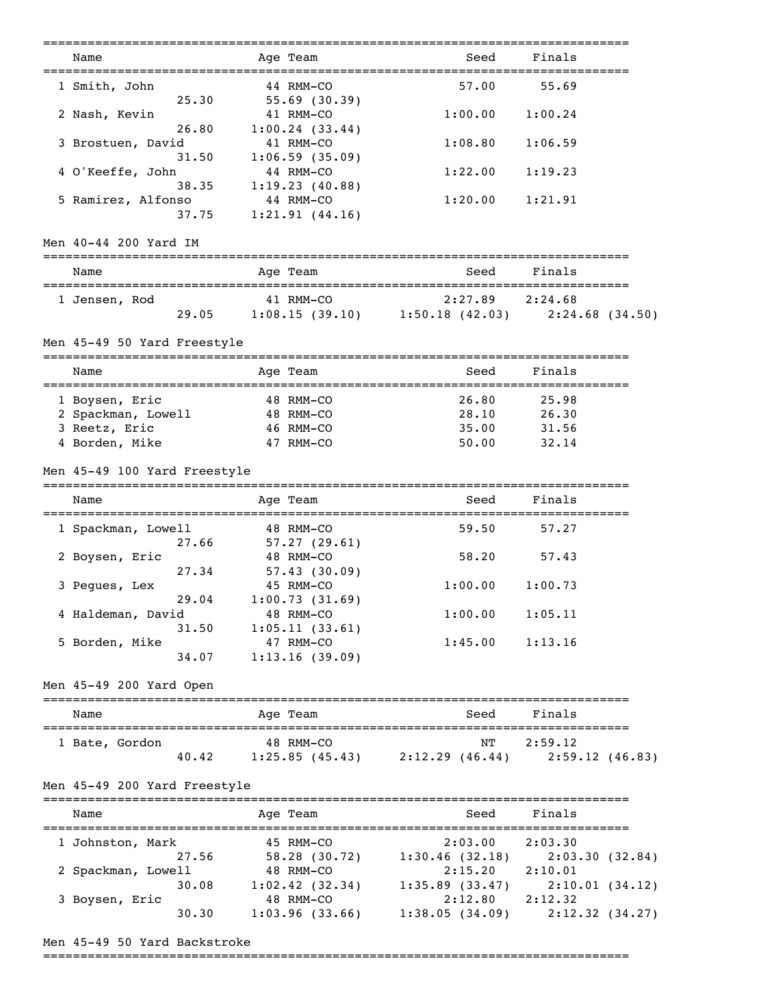| Name<br>--------------------                   | Age Team                                                           | Seed                                           | Finals                                                     |
|------------------------------------------------|--------------------------------------------------------------------|------------------------------------------------|------------------------------------------------------------|
| 1 Smith, John<br>25.30                         | 44 RMM-CO<br>55.69(30.39)                                          | 57.00                                          | 55.69                                                      |
| 2 Nash, Kevin                                  | 41 RMM-CO                                                          | 1:00.00                                        | 1:00.24                                                    |
| 26.80<br>3 Brostuen, David                     | 1:00.24(33.44)<br>41 RMM-CO                                        | 1:08.80                                        | 1:06.59                                                    |
| 31.50<br>4 O'Keeffe, John                      | 1:06.59(35.09)<br>44 RMM-CO                                        | 1:22.00                                        | 1:19.23                                                    |
| 38.35<br>5 Ramirez, Alfonso<br>37.75           | 1:19.23(40.88)<br>44 RMM-CO<br>1:21.91(44.16)                      | 1:20.00                                        | 1:21.91                                                    |
| Men 40-44 200 Yard IM                          |                                                                    |                                                |                                                            |
| Name<br>====================================== | Age Team                                                           | Seed                                           | Finals                                                     |
| 1 Jensen, Rod                                  | 41 RMM-CO<br>29.05                                                 | 2:27.89                                        | 2:24.68<br>1:08.15 (39.10) 1:50.18 (42.03) 2:24.68 (34.50) |
| Men 45-49 50 Yard Freestyle                    |                                                                    |                                                |                                                            |
| Name                                           | Age Team                                                           | Seed                                           | Finals                                                     |
| 1 Boysen, Eric                                 | 48 RMM-CO                                                          | 26.80                                          | 25.98                                                      |
| 2 Spackman, Lowell                             | 48 RMM-CO                                                          | 28.10                                          | 26.30                                                      |
| 3 Reetz, Eric                                  | 46 RMM-CO                                                          | 35.00                                          | 31.56                                                      |
| 4 Borden, Mike                                 | 47 RMM-CO                                                          | 50.00                                          | 32.14                                                      |
| Men 45-49 100 Yard Freestyle                   |                                                                    |                                                |                                                            |
| Name                                           | Age Team                                                           | Seed                                           | Finals                                                     |
| 1 Spackman, Lowell<br>27.66                    | 48 RMM-CO<br>57.27 (29.61)                                         | 59.50                                          | 57.27                                                      |
| 2 Boysen, Eric<br>27.34                        | 48 RMM-CO<br>57.43(30.09)                                          | 58.20                                          | 57.43                                                      |
| 3 Pegues, Lex                                  | 45 RMM-CO                                                          | 1:00.00                                        | 1:00.73                                                    |
| 29.04<br>4 Haldeman, David                     | 1:00.73(31.69)<br>48 RMM-CO                                        | 1:00.00                                        | 1:05.11                                                    |
| 5 Borden, Mike                                 | 1:05.11(33.61)<br>31.50<br>47 RMM-CO                               | 1:45.00                                        | 1:13.16                                                    |
| 34.07                                          | 1:13.16(39.09)                                                     |                                                |                                                            |
| Men 45-49 200 Yard Open                        |                                                                    |                                                |                                                            |
| Name                                           | Age Team                                                           | Seed                                           | Finals                                                     |
| 1 Bate, Gordon                                 | 48 RMM-CO<br>40.42 1:25.85 (45.43) 2:12.29 (46.44) 2:59.12 (46.83) | NT                                             | 2:59.12                                                    |
| Men 45-49 200 Yard Freestyle                   |                                                                    |                                                |                                                            |
| Name                                           | Age Team                                                           | Seed                                           | Finals                                                     |
| 1 Johnston, Mark                               | 45 RMM-CO                                                          | 2:03.00                                        | 2:03.30                                                    |
| 27.56                                          |                                                                    | 58.28 (30.72) 1:30.46 (32.18)                  | 2:03.30(32.84)                                             |
| 2 Spackman, Lowell                             | 48 RMM-CO                                                          | 2:15.20                                        | 2:10.01                                                    |
| 30.08                                          |                                                                    | $1:02.42$ (32.34) $1:35.89$ (33.47)            | 2:10.01(34.12)                                             |
| 3 Boysen, Eric<br>30.30                        | 48 RMM-CO                                                          | 2:12.80<br>$1:03.96$ (33.66) $1:38.05$ (34.09) | 2:12.32<br>2:12.32(34.27)                                  |
|                                                |                                                                    |                                                |                                                            |

# Men 45-49 50 Yard Backstroke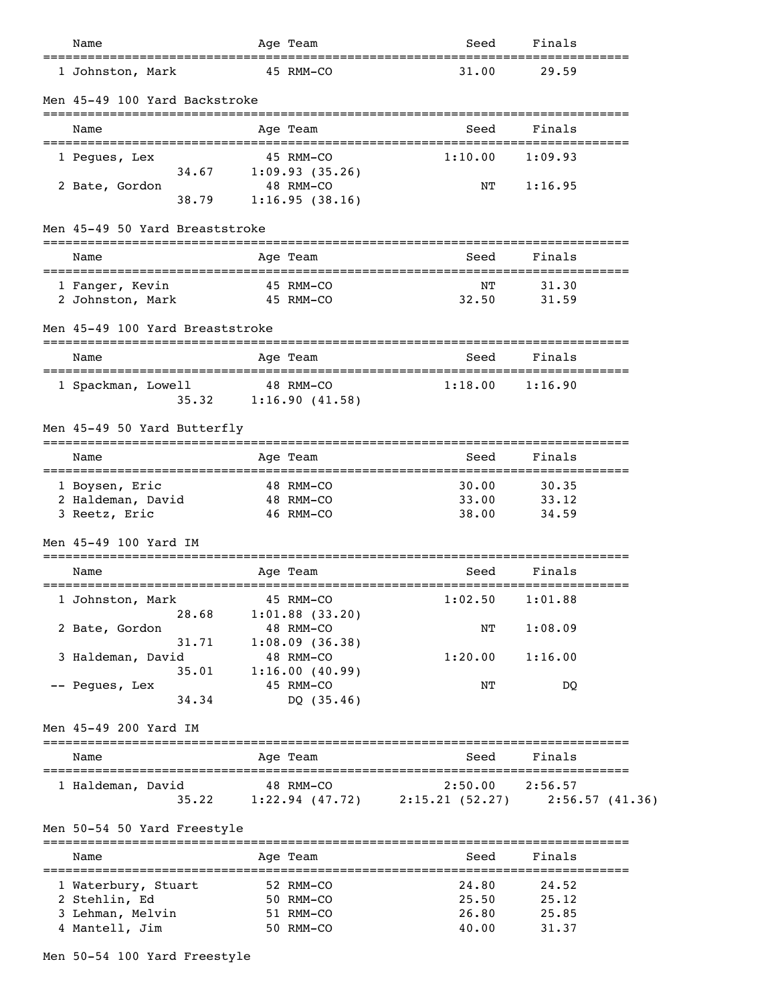| Name                            |       |                                                                                                                                                                                                                                                                                                                 |                                                                                                                                                                          | Seed                                                                                                                                                                                                                                                                                                                                                                                                                                                        | Finals                    |                                                                                                   |
|---------------------------------|-------|-----------------------------------------------------------------------------------------------------------------------------------------------------------------------------------------------------------------------------------------------------------------------------------------------------------------|--------------------------------------------------------------------------------------------------------------------------------------------------------------------------|-------------------------------------------------------------------------------------------------------------------------------------------------------------------------------------------------------------------------------------------------------------------------------------------------------------------------------------------------------------------------------------------------------------------------------------------------------------|---------------------------|---------------------------------------------------------------------------------------------------|
|                                 |       |                                                                                                                                                                                                                                                                                                                 |                                                                                                                                                                          | 31.00                                                                                                                                                                                                                                                                                                                                                                                                                                                       | 29.59                     |                                                                                                   |
|                                 |       |                                                                                                                                                                                                                                                                                                                 |                                                                                                                                                                          |                                                                                                                                                                                                                                                                                                                                                                                                                                                             |                           |                                                                                                   |
| Name                            |       |                                                                                                                                                                                                                                                                                                                 |                                                                                                                                                                          | Seed                                                                                                                                                                                                                                                                                                                                                                                                                                                        | Finals                    |                                                                                                   |
| 1 Pegues, Lex                   |       |                                                                                                                                                                                                                                                                                                                 |                                                                                                                                                                          | 1:10.00                                                                                                                                                                                                                                                                                                                                                                                                                                                     | 1:09.93                   |                                                                                                   |
| 2 Bate, Gordon                  | 38.79 |                                                                                                                                                                                                                                                                                                                 |                                                                                                                                                                          | NΤ                                                                                                                                                                                                                                                                                                                                                                                                                                                          | 1:16.95                   |                                                                                                   |
|                                 |       |                                                                                                                                                                                                                                                                                                                 |                                                                                                                                                                          |                                                                                                                                                                                                                                                                                                                                                                                                                                                             |                           |                                                                                                   |
| Name                            |       |                                                                                                                                                                                                                                                                                                                 |                                                                                                                                                                          | Seed                                                                                                                                                                                                                                                                                                                                                                                                                                                        | Finals                    |                                                                                                   |
| 1 Fanger, Kevin                 |       |                                                                                                                                                                                                                                                                                                                 |                                                                                                                                                                          | NΤ<br>32.50                                                                                                                                                                                                                                                                                                                                                                                                                                                 | 31.30<br>31.59            |                                                                                                   |
|                                 |       |                                                                                                                                                                                                                                                                                                                 |                                                                                                                                                                          |                                                                                                                                                                                                                                                                                                                                                                                                                                                             |                           |                                                                                                   |
| Name                            |       |                                                                                                                                                                                                                                                                                                                 |                                                                                                                                                                          | Seed                                                                                                                                                                                                                                                                                                                                                                                                                                                        | Finals                    |                                                                                                   |
|                                 | 35.32 |                                                                                                                                                                                                                                                                                                                 |                                                                                                                                                                          | 1:18.00                                                                                                                                                                                                                                                                                                                                                                                                                                                     |                           |                                                                                                   |
|                                 |       |                                                                                                                                                                                                                                                                                                                 |                                                                                                                                                                          |                                                                                                                                                                                                                                                                                                                                                                                                                                                             |                           |                                                                                                   |
| Name                            |       |                                                                                                                                                                                                                                                                                                                 |                                                                                                                                                                          | Seed                                                                                                                                                                                                                                                                                                                                                                                                                                                        | Finals                    |                                                                                                   |
| 1 Boysen, Eric<br>3 Reetz, Eric |       |                                                                                                                                                                                                                                                                                                                 |                                                                                                                                                                          | 30.00<br>33.00<br>38.00                                                                                                                                                                                                                                                                                                                                                                                                                                     | 30.35<br>33.12<br>34.59   |                                                                                                   |
|                                 |       |                                                                                                                                                                                                                                                                                                                 |                                                                                                                                                                          |                                                                                                                                                                                                                                                                                                                                                                                                                                                             |                           |                                                                                                   |
| Name                            |       |                                                                                                                                                                                                                                                                                                                 |                                                                                                                                                                          | Seed                                                                                                                                                                                                                                                                                                                                                                                                                                                        | Finals                    |                                                                                                   |
|                                 |       |                                                                                                                                                                                                                                                                                                                 |                                                                                                                                                                          | 1:02.50                                                                                                                                                                                                                                                                                                                                                                                                                                                     | 1:01.88                   |                                                                                                   |
| 2 Bate, Gordon                  |       |                                                                                                                                                                                                                                                                                                                 |                                                                                                                                                                          | ΝT                                                                                                                                                                                                                                                                                                                                                                                                                                                          | 1:08.09                   |                                                                                                   |
|                                 | 35.01 |                                                                                                                                                                                                                                                                                                                 |                                                                                                                                                                          | 1:20.00                                                                                                                                                                                                                                                                                                                                                                                                                                                     | 1:16.00                   |                                                                                                   |
| -- Pegues, Lex                  | 34.34 |                                                                                                                                                                                                                                                                                                                 | DQ $(35.46)$                                                                                                                                                             | NΤ                                                                                                                                                                                                                                                                                                                                                                                                                                                          | DQ                        |                                                                                                   |
|                                 |       |                                                                                                                                                                                                                                                                                                                 |                                                                                                                                                                          |                                                                                                                                                                                                                                                                                                                                                                                                                                                             |                           |                                                                                                   |
| Name                            |       |                                                                                                                                                                                                                                                                                                                 |                                                                                                                                                                          | Seed                                                                                                                                                                                                                                                                                                                                                                                                                                                        | Finals                    |                                                                                                   |
|                                 | 35.22 |                                                                                                                                                                                                                                                                                                                 |                                                                                                                                                                          | 2:50.00                                                                                                                                                                                                                                                                                                                                                                                                                                                     | 2:56.57<br>2:56.57(41.36) |                                                                                                   |
|                                 |       |                                                                                                                                                                                                                                                                                                                 |                                                                                                                                                                          |                                                                                                                                                                                                                                                                                                                                                                                                                                                             |                           |                                                                                                   |
| Name                            |       |                                                                                                                                                                                                                                                                                                                 |                                                                                                                                                                          | Seed                                                                                                                                                                                                                                                                                                                                                                                                                                                        | Finals                    |                                                                                                   |
| 2 Stehlin, Ed                   |       |                                                                                                                                                                                                                                                                                                                 |                                                                                                                                                                          | 24.80<br>25.50                                                                                                                                                                                                                                                                                                                                                                                                                                              | 24.52<br>25.12            |                                                                                                   |
|                                 |       | 1 Johnston, Mark<br>34.67<br>2 Johnston, Mark<br>1 Spackman, Lowell<br>Men 45-49 50 Yard Butterfly<br>2 Haldeman, David<br>Men 45-49 100 Yard IM<br>1 Johnston, Mark<br>28.68<br>31.71<br>3 Haldeman, David<br>Men 45-49 200 Yard IM<br>1 Haldeman, David<br>Men 50-54 50 Yard Freestyle<br>1 Waterbury, Stuart | Men 45-49 100 Yard Backstroke<br>Men 45-49 50 Yard Breaststroke<br>==============================<br>================================<br>Men 45-49 100 Yard Breaststroke | Age Team<br>45 RMM-CO<br>Age Team<br>45 RMM-CO<br>1:09.93(35.26)<br>48 RMM-CO<br>1:16.95(38.16)<br>----------<br>Age Team<br>45 RMM-CO<br>45 RMM-CO<br>Age Team<br>48 RMM-CO<br>1:16.90(41.58)<br>Age Team<br>48 RMM-CO<br>48 RMM-CO<br>46 RMM-CO<br>Age Team<br>==============<br>45 RMM-CO<br>$1:01.88$ (33.20)<br>48 RMM-CO<br>1:08.09(36.38)<br>48 RMM-CO<br>1:16.00(40.99)<br>45 RMM-CO<br>Age Team<br>48 RMM-CO<br>Age Team<br>52 RMM-CO<br>50 RMM-CO | ______________________    | 1:16.90<br>$1:22.94$ (47.72) $2:15.21$ (52.27)<br>3 Lehman, Melvin<br>51 RMM-CO<br>26.80<br>25.85 |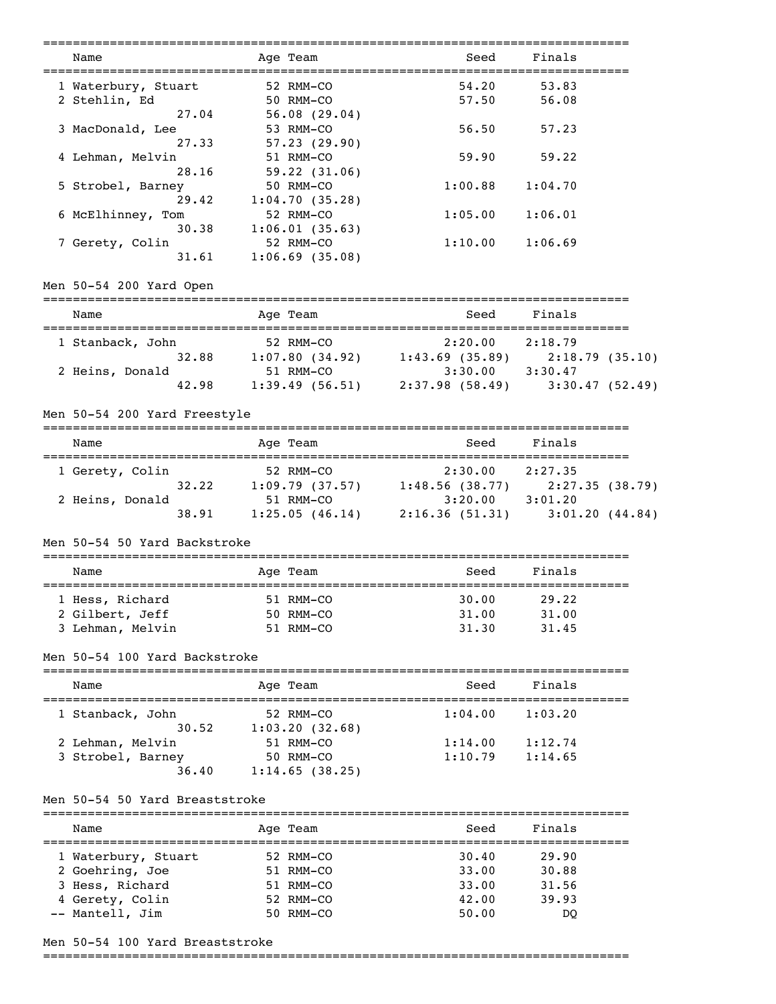| Name                                  | Age Team                              | Seed                                                                                         | Finals                |  |
|---------------------------------------|---------------------------------------|----------------------------------------------------------------------------------------------|-----------------------|--|
| 1 Waterbury, Stuart                   | 52 RMM-CO                             | 54.20                                                                                        | 53.83                 |  |
| 2 Stehlin, Ed                         | 50 RMM-CO                             | 57.50                                                                                        | 56.08                 |  |
| 27.04                                 | 56.08(29.04)                          |                                                                                              |                       |  |
| 3 MacDonald, Lee                      | 53 RMM-CO                             | 56.50                                                                                        | 57.23                 |  |
| 27.33                                 | 57.23 (29.90)                         |                                                                                              |                       |  |
| 4 Lehman, Melvin                      | 51 RMM-CO                             | 59.90                                                                                        | 59.22                 |  |
| 28.16                                 | 59.22(31.06)                          |                                                                                              |                       |  |
| 5 Strobel, Barney                     | 50 RMM-CO                             | 1:00.88                                                                                      | 1:04.70               |  |
| 29.42                                 | 1:04.70(35.28)                        |                                                                                              |                       |  |
| 6 McElhinney, Tom                     | 52 RMM-CO                             | 1:05.00                                                                                      | 1:06.01               |  |
| 30.38                                 | 1:06.01(35.63)                        |                                                                                              |                       |  |
| 7 Gerety, Colin                       | 52 RMM-CO                             | $1:10.00$ $1:06.69$                                                                          |                       |  |
| 31.61                                 | $1:06.69$ (35.08)                     |                                                                                              |                       |  |
| Men 50-54 200 Yard Open               |                                       |                                                                                              |                       |  |
| Name                                  | Age Team                              | Seed                                                                                         | Finals                |  |
|                                       |                                       |                                                                                              |                       |  |
| 1 Stanback, John                      | 52 RMM-CO                             | 52 RMM-CO<br>1:07.80 (34.92) 1:43.69 (35.89) 2:18.79 (35.10)<br>51 RMM-CO<br>3:30.00 3:30.47 |                       |  |
| 32.88                                 |                                       |                                                                                              |                       |  |
| 2 Heins, Donald                       |                                       |                                                                                              |                       |  |
| 42.98                                 |                                       | 1:39.49 (56.51) 2:37.98 (58.49) 3:30.47 (52.49)                                              |                       |  |
| Men 50-54 200 Yard Freestyle          |                                       |                                                                                              |                       |  |
| Name                                  | Age Team                              | Seed                                                                                         | Finals                |  |
| 1 Gerety, Colin                       | 52 RMM-CO                             | 2:30.00 2:27.35                                                                              |                       |  |
|                                       |                                       |                                                                                              |                       |  |
| 2 Heins, Donald                       |                                       | 32.22 1:09.79 (37.57) 1:48.56 (38.77) 2:27.35 (38.79)<br>51 RMM-CO 3:20.00 3:01.20           |                       |  |
| 38.91                                 |                                       | $1:25.05(46.14)$ $2:16.36(51.31)$ $3:01.20(44.84)$                                           |                       |  |
| Men 50-54 50 Yard Backstroke          |                                       |                                                                                              |                       |  |
| Name                                  | Age Team                              | Seed                                                                                         | Finals                |  |
| ------------------<br>1 Hess, Richard | ;=======================<br>51 RMM-CO | ==============================<br>30.00                                                      | 29.22                 |  |
| 2 Gilbert, Jeff                       | 50 RMM-CO                             | 31.00                                                                                        | 31.00                 |  |
| 3 Lehman, Melvin                      | 51 RMM-CO                             | 31.30                                                                                        | 31.45                 |  |
|                                       |                                       |                                                                                              |                       |  |
| Men 50-54 100 Yard Backstroke         |                                       |                                                                                              |                       |  |
| Name                                  | Age Team                              | Seed                                                                                         | Finals                |  |
| 1 Stanback, John                      | 52 RMM-CO                             | 1:04.00                                                                                      | 1:03.20               |  |
| 30.52                                 | 1:03.20(32.68)                        |                                                                                              |                       |  |
| 2 Lehman, Melvin                      | 51 RMM-CO                             | 1:14.00                                                                                      | 1:12.74               |  |
| 3 Strobel, Barney                     | 50 RMM-CO                             | 1:10.79                                                                                      | 1:14.65               |  |
| 36.40                                 | 1:14.65(38.25)                        |                                                                                              |                       |  |
| Men 50-54 50 Yard Breaststroke        |                                       |                                                                                              |                       |  |
| Name                                  | Age Team                              | Seed                                                                                         | Finals                |  |
| 1 Waterbury, Stuart                   | 52 RMM-CO                             | 30.40                                                                                        | ============<br>29.90 |  |
| 2 Goehring, Joe                       | 51 RMM-CO                             | 33.00                                                                                        | 30.88                 |  |
| 3 Hess, Richard                       | 51 RMM-CO                             | 33.00                                                                                        | 31.56                 |  |
| 4 Gerety, Colin                       | 52 RMM-CO                             | 42.00                                                                                        | 39.93                 |  |
| -- Mantell, Jim                       | 50 RMM-CO                             | 50.00                                                                                        | DQ                    |  |
|                                       |                                       |                                                                                              |                       |  |

# Men 50-54 100 Yard Breaststroke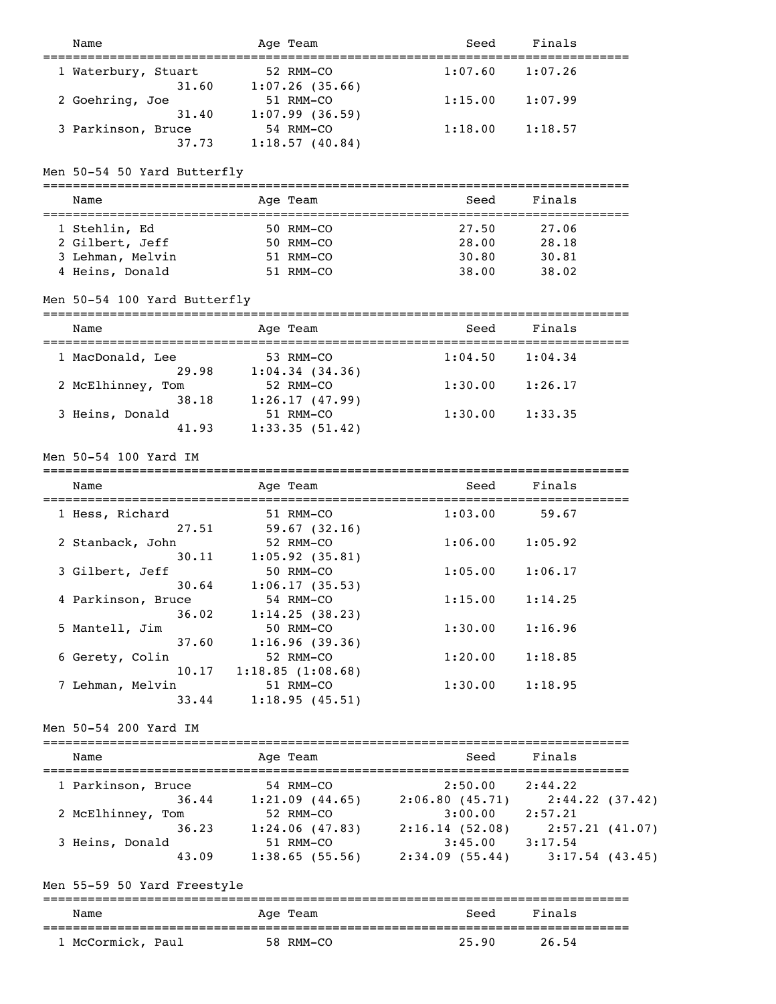| Name                           | Age Team                              | Seed                | Finals                              |
|--------------------------------|---------------------------------------|---------------------|-------------------------------------|
|                                | 52 RMM-CO                             | 1:07.60             | 1:07.26                             |
| 1 Waterbury, Stuart<br>31.60   | $1:07.26$ (35.66)                     |                     |                                     |
| 2 Goehring, Joe                | 51 RMM-CO                             | 1:15.00             | 1:07.99                             |
| 31.40                          | 1:07.99(36.59)                        |                     |                                     |
| 3 Parkinson, Bruce             | 54 RMM-CO                             | 1:18.00             | 1:18.57                             |
| 37.73                          | 1:18.57(40.84)                        |                     |                                     |
|                                |                                       |                     |                                     |
| Men 50-54 50 Yard Butterfly    |                                       |                     |                                     |
|                                |                                       |                     |                                     |
| Name                           | Age Team                              | Seed                | Finals                              |
| 1 Stehlin, Ed                  | 50 RMM-CO                             | 27.50               | 27.06                               |
| 2 Gilbert, Jeff                | 50 RMM-CO                             | 28.00               | 28.18                               |
| 3 Lehman, Melvin               | 51 RMM-CO                             | 30.80               | 30.81                               |
| 4 Heins, Donald                | 51 RMM-CO                             | 38.00               | 38.02                               |
|                                |                                       |                     |                                     |
| Men 50-54 100 Yard Butterfly   |                                       |                     |                                     |
| ============================== | ==========                            |                     | ===============                     |
| Name                           | Age Team                              | Seed                | Finals                              |
| 1 MacDonald, Lee               | 53 RMM-CO                             | 1:04.50             | 1:04.34                             |
| 29.98                          | 1:04.34(34.36)                        |                     |                                     |
| 2 McElhinney, Tom              | 52 RMM-CO                             | 1:30.00             | 1:26.17                             |
| 38.18                          | 1:26.17(47.99)                        |                     |                                     |
| 3 Heins, Donald                | 51 RMM-CO                             | 1:30.00             | 1:33.35                             |
| 41.93                          | 1:33.35(51.42)                        |                     |                                     |
|                                |                                       |                     |                                     |
| Men 50-54 100 Yard IM          |                                       |                     |                                     |
| Name                           |                                       | Seed                | Finals                              |
|                                | Age Team                              |                     |                                     |
| 1 Hess, Richard                | 51 RMM-CO                             | 1:03.00             | 59.67                               |
| 27.51                          | 59.67(32.16)                          |                     |                                     |
| 2 Stanback, John               | 52 RMM-CO                             | 1:06.00             | 1:05.92                             |
| 30.11                          | $1:05.92$ (35.81)                     |                     |                                     |
| 3 Gilbert, Jeff                | 50 RMM-CO                             | 1:05.00             | 1:06.17                             |
| 30.64                          | 1:06.17(35.53)                        |                     |                                     |
| 4 Parkinson, Bruce             | 54 RMM-CO                             | 1:15.00             | 1:14.25                             |
| 36.02                          | 1:14.25(38.23)                        |                     |                                     |
| 5 Mantell, Jim                 | 50 RMM-CO                             | 1:30.00             | 1:16.96                             |
| 37.60                          | 1:16.96(39.36)                        |                     |                                     |
| 6 Gerety, Colin                | 52 RMM-CO                             | 1:20.00             | 1:18.85                             |
| 10.17                          | 1:18.85(1:08.68)                      |                     |                                     |
| 7 Lehman, Melvin               | 51 RMM-CO                             | 1:30.00             | 1:18.95                             |
| 33.44                          | 1:18.95(45.51)                        |                     |                                     |
| Men 50-54 200 Yard IM          |                                       |                     |                                     |
|                                |                                       |                     |                                     |
| Name                           | Age Team                              | Seed                | Finals                              |
| 1 Parkinson, Bruce             | 54 RMM-CO                             | 2:50.00             | 2:44.22                             |
|                                | 36.44 1:21.09 (44.65) 2:06.80 (45.71) |                     | 2:44.22(37.42)                      |
| 2 McElhinney, Tom              | 52 RMM-CO                             | $3:00.00$ $2:57.21$ |                                     |
| 36.23                          | 1:24.06(47.83)                        | 2:16.14(52.08)      | 2:57.21(41.07)                      |
| 3 Heins, Donald                | 51 RMM-CO                             | $3:45.00$ $3:17.54$ |                                     |
| 43.09                          | 1:38.65(55.56)                        |                     | $2:34.09$ (55.44) $3:17.54$ (43.45) |
|                                |                                       |                     |                                     |
| Men 55-59 50 Yard Freestyle    |                                       |                     |                                     |
| Name                           | ==========                            | Seed                | Finals                              |
|                                | Age Team                              |                     |                                     |
| 1 McCormick, Paul              | 58 RMM-CO                             | 25.90               | 26.54                               |
|                                |                                       |                     |                                     |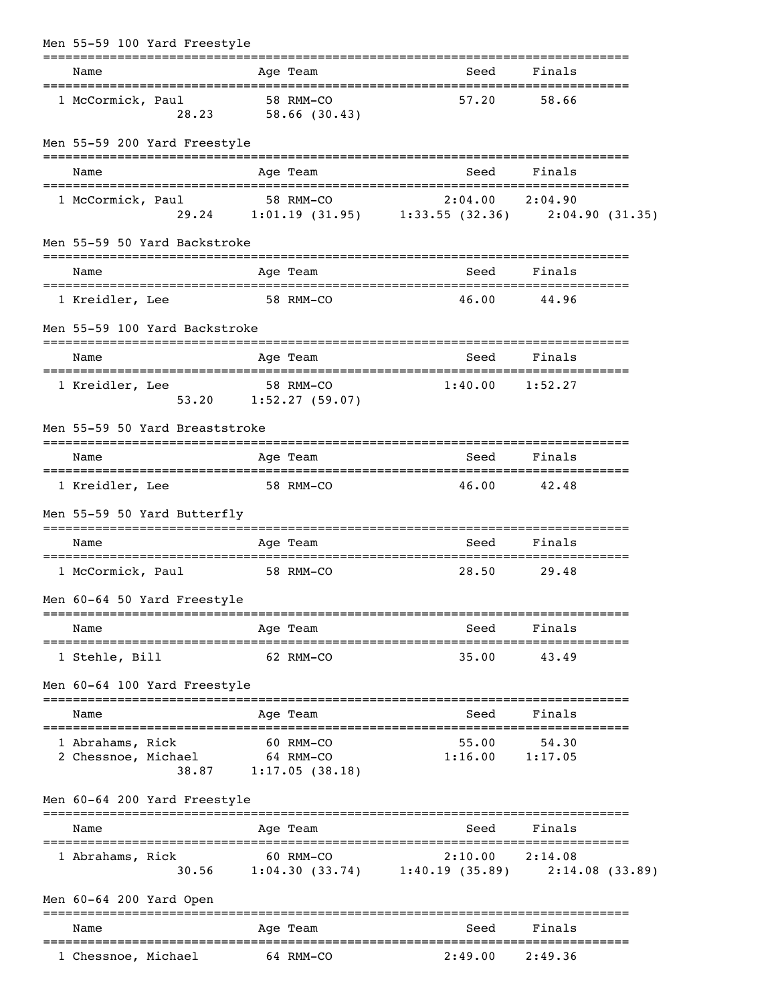| Men 55-59 100 Yard Freestyle            |           |                                                   |                                                                              |                  |  |
|-----------------------------------------|-----------|---------------------------------------------------|------------------------------------------------------------------------------|------------------|--|
| Name                                    |           | Age Team                                          | ==============================<br>Seed                                       | Finals           |  |
| 1 McCormick, Paul<br>28.23              |           | 58 RMM-CO<br>58.66(30.43)                         | 57.20                                                                        | 58.66            |  |
| Men 55-59 200 Yard Freestyle            |           | ===========                                       |                                                                              |                  |  |
| Name                                    |           | Age Team                                          | Seed                                                                         | Finals           |  |
| 1 McCormick, Paul                       |           | 58 RMM-CO                                         | 2:04.00<br>29.24 1:01.19 (31.95) 1:33.55 (32.36) 2:04.90 (31.35)             | 2:04.90          |  |
| Men 55-59 50 Yard Backstroke            |           |                                                   |                                                                              |                  |  |
| Name                                    |           | Age Team                                          | Seed                                                                         | Finals           |  |
| 1 Kreidler, Lee                         |           | 58 RMM-CO                                         | 46.00                                                                        | 44.96            |  |
| Men 55-59 100 Yard Backstroke           |           |                                                   |                                                                              |                  |  |
| Name                                    |           | Age Team                                          | Seed                                                                         | Finals           |  |
| 1 Kreidler, Lee<br>53.20                |           | 58 RMM-CO<br>1:52.27(59.07)                       | 1:40.00                                                                      | 1:52.27          |  |
| Men 55-59 50 Yard Breaststroke          |           |                                                   |                                                                              |                  |  |
| Name                                    |           | Age Team                                          | Seed                                                                         | Finals           |  |
| 1 Kreidler, Lee                         | 58 RMM-CO |                                                   | 46.00                                                                        | 42.48            |  |
| Men 55-59 50 Yard Butterfly             |           |                                                   |                                                                              |                  |  |
| Name                                    |           | Age Team                                          | Seed                                                                         | Finals           |  |
| 1 McCormick, Paul                       |           | 58 RMM-CO                                         | 28.50                                                                        | 29.48            |  |
| Men 60-64 50 Yard Freestyle             |           |                                                   |                                                                              |                  |  |
| Name                                    |           | Age Team                                          |                                                                              | Seed Finals      |  |
| 1 Stehle, Bill                          | 62 RMM-CO |                                                   | 35.00                                                                        | 43.49            |  |
| Men 60-64 100 Yard Freestyle            |           |                                                   |                                                                              |                  |  |
| Name                                    |           | Age Team                                          | Seed                                                                         | Finals           |  |
| 1 Abrahams, Rick<br>2 Chessnoe, Michael |           | 60 RMM-CO<br>64 RMM-CO<br>$38.87$ 1:17.05 (38.18) | 55.00<br>1:16.00                                                             | 54.30<br>1:17.05 |  |
| Men 60-64 200 Yard Freestyle            |           |                                                   |                                                                              |                  |  |
| Name                                    |           | Age Team                                          | Seed                                                                         | Finals           |  |
| 1 Abrahams, Rick                        |           | 60 RMM-CO                                         | $2:10.00$ $2:14.08$<br>30.56 1:04.30 (33.74) 1:40.19 (35.89) 2:14.08 (33.89) |                  |  |
| Men 60-64 200 Yard Open                 |           |                                                   |                                                                              |                  |  |
| Name                                    |           | Age Team<br>====================================  | Seed<br>;==============================                                      | Finals           |  |
| 1 Chessnoe, Michael                     | 64 RMM-CO |                                                   | 2:49.00                                                                      | 2:49.36          |  |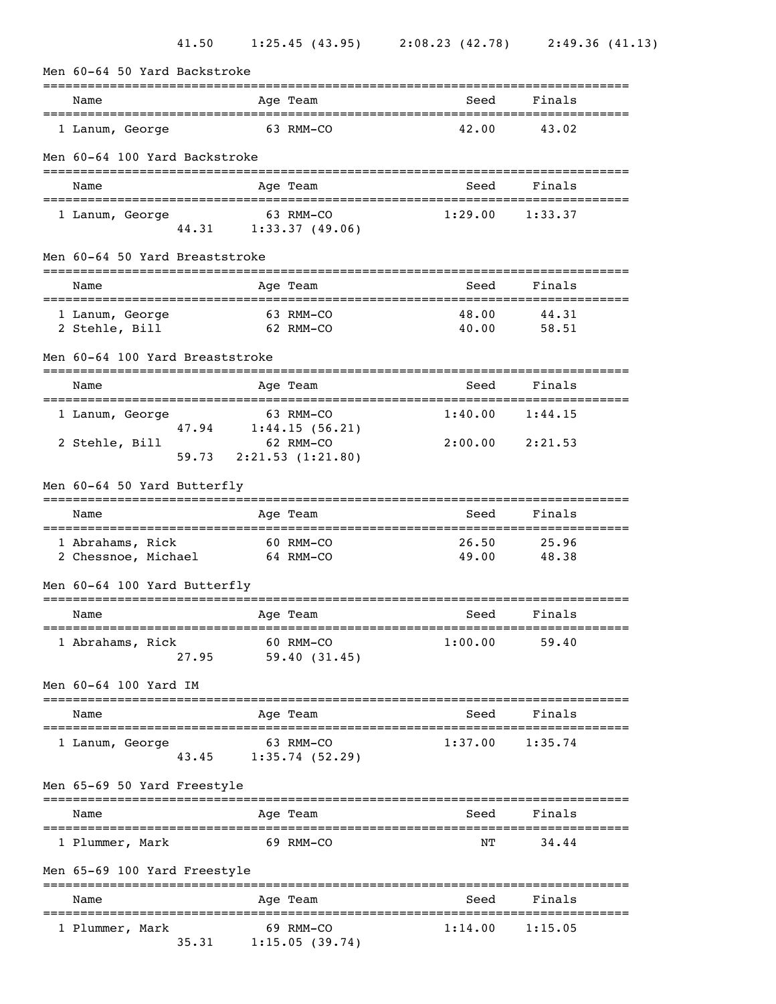| Men 60-64 50 Yard Backstroke                      |                                    |                |                |  |  |  |
|---------------------------------------------------|------------------------------------|----------------|----------------|--|--|--|
| Name                                              | Age Team                           | Seed           | Finals         |  |  |  |
| 1 Lanum, George                                   | 63 RMM-CO                          | 42.00          | 43.02          |  |  |  |
| Men 60-64 100 Yard Backstroke                     |                                    |                |                |  |  |  |
| Name                                              | Age Team                           | Seed           | Finals         |  |  |  |
| 1 Lanum, George<br>44.31                          | 63 RMM-CO<br>1:33.37(49.06)        | 1:29.00        | 1:33.37        |  |  |  |
| Men 60-64 50 Yard Breaststroke                    |                                    |                |                |  |  |  |
| Name                                              | Age Team                           | Seed           | Finals         |  |  |  |
| 1 Lanum, George<br>2 Stehle, Bill                 | 63 RMM-CO<br>62 RMM-CO             | 48.00<br>40.00 | 44.31<br>58.51 |  |  |  |
| Men 60-64 100 Yard Breaststroke                   |                                    |                |                |  |  |  |
| Name                                              | Age Team                           | Seed           | Finals         |  |  |  |
| 1 Lanum, George                                   | 63 RMM-CO<br>47.94 1:44.15 (56.21) | 1:40.00        | 1:44.15        |  |  |  |
| 2 Stehle, Bill<br>59.73                           | 62 RMM-CO<br>2:21.53(1:21.80)      | 2:00.00        | 2:21.53        |  |  |  |
| Men 60-64 50 Yard Butterfly                       |                                    |                |                |  |  |  |
| Name                                              | Age Team                           | Seed           | Finals         |  |  |  |
| 1 Abrahams, Rick<br>2 Chessnoe, Michael 64 RMM-CO | 60 RMM-CO                          | 26.50<br>49.00 | 25.96<br>48.38 |  |  |  |
| Men 60-64 100 Yard Butterfly                      |                                    |                |                |  |  |  |
| Name                                              | Age Team                           | Seed           | Finals         |  |  |  |
| 1 Abrahams, Rick<br>27.95                         | 60 RMM-CO<br>59.40 (31.45)         | 1:00.00        | 59.40          |  |  |  |
| Men 60-64 100 Yard IM                             |                                    |                |                |  |  |  |
| Name                                              | Age Team                           | Seed           | Finals         |  |  |  |
| 1 Lanum, George<br>43.45                          | 63 RMM-CO<br>1:35.74(52.29)        | 1:37.00        | 1:35.74        |  |  |  |
| Men 65-69 50 Yard Freestyle                       | ===============                    |                |                |  |  |  |
| Name                                              | Age Team<br>._____________________ | Seed           | Finals         |  |  |  |
| 1 Plummer, Mark                                   | 69 RMM-CO                          | NΤ             | 34.44          |  |  |  |
| Men 65-69 100 Yard Freestyle                      |                                    |                |                |  |  |  |
| Name                                              | Age Team                           | Seed           | Finals         |  |  |  |
| 1 Plummer, Mark<br>35.31                          | 69 RMM-CO<br>1:15.05(39.74)        | 1:14.00        | 1:15.05        |  |  |  |